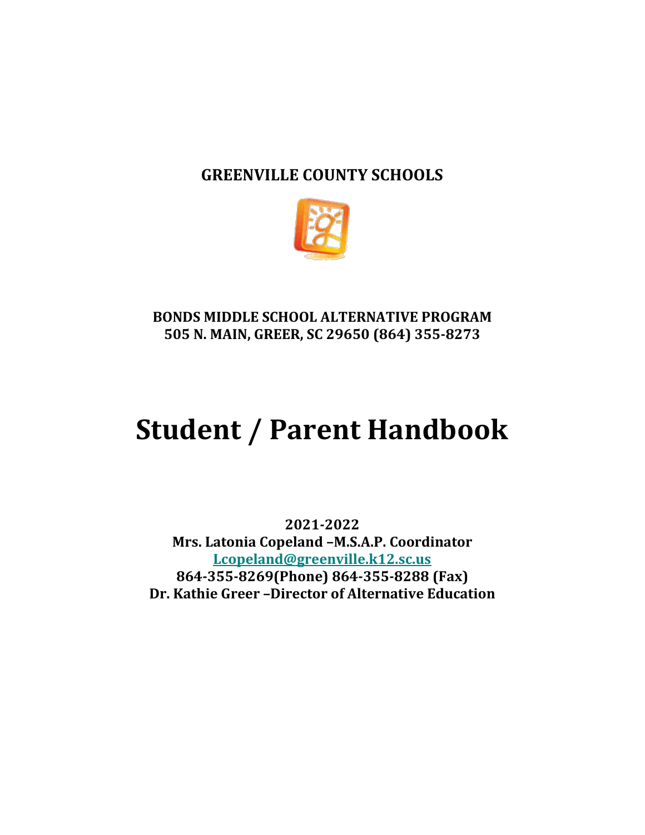# **GREENVILLE COUNTY SCHOOLS**



# **BONDS MIDDLE SCHOOL ALTERNATIVE PROGRAM 505 N. MAIN, GREER, SC 29650 (864) 355-8273**

# **Student / Parent Handbook**

**2021-2022 Mrs. Latonia Copeland –M.S.A.P. Coordinator [Lcopeland@greenville.k12.sc.us](mailto:Lcopeland@greenville.k12.sc.us) 864-355-8269(Phone) 864-355-8288 (Fax) Dr. Kathie Greer –Director of Alternative Education**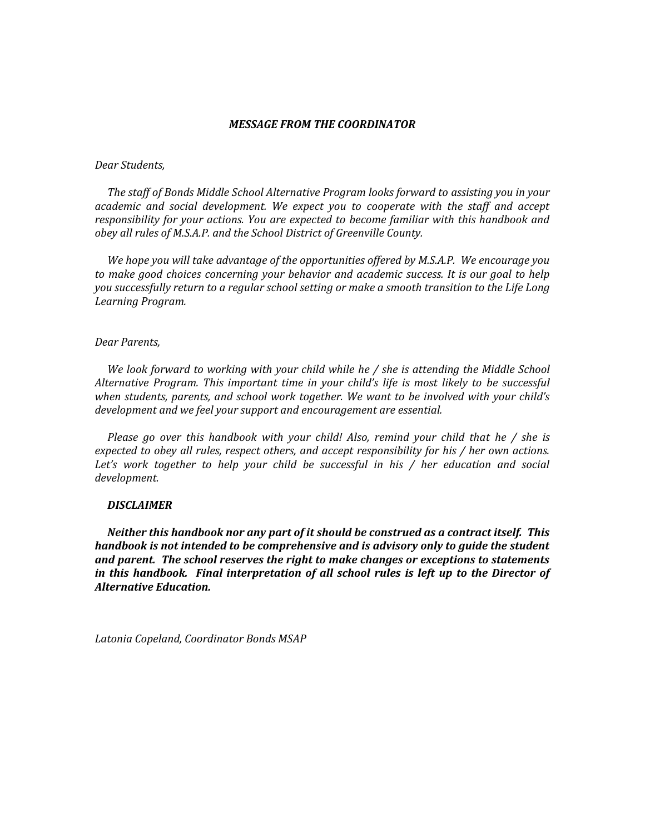#### *MESSAGE FROM THE COORDINATOR*

#### *Dear Students,*

 *The staff of Bonds Middle School Alternative Program looks forward to assisting you in your academic and social development. We expect you to cooperate with the staff and accept responsibility for your actions. You are expected to become familiar with this handbook and obey all rules of M.S.A.P. and the School District of Greenville County.* 

 *We hope you will take advantage of the opportunities offered by M.S.A.P. We encourage you to make good choices concerning your behavior and academic success. It is our goal to help you successfully return to a regular school setting or make a smooth transition to the Life Long Learning Program.*

#### *Dear Parents,*

 *We look forward to working with your child while he / she is attending the Middle School*  Alternative Program. This important time in your child's life is most likely to be successful *when students, parents, and school work together. We want to be involved with your child's development and we feel your support and encouragement are essential.*

 *Please go over this handbook with your child! Also, remind your child that he / she is expected to obey all rules, respect others, and accept responsibility for his / her own actions.*  Let's work together to help your child be successful in his / her education and social *development.*

#### *DISCLAIMER*

 *Neither this handbook nor any part of it should be construed as a contract itself. This handbook is not intended to be comprehensive and is advisory only to guide the student and parent. The school reserves the right to make changes or exceptions to statements in this handbook. Final interpretation of all school rules is left up to the Director of Alternative Education.*

*Latonia Copeland, Coordinator Bonds MSAP*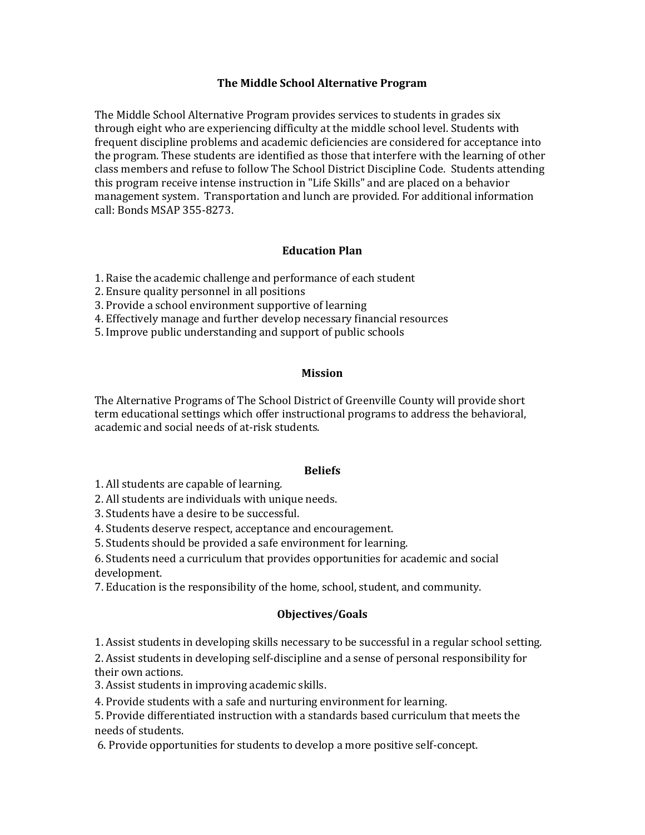#### **The Middle School Alternative Program**

The Middle School Alternative Program provides services to students in grades six through eight who are experiencing difficulty at the middle school level. Students with frequent discipline problems and academic deficiencies are considered for acceptance into the program. These students are identified as those that interfere with the learning of other class members and refuse to follow The School District Discipline Code. Students attending this program receive intense instruction in "Life Skills" and are placed on a behavior management system. Transportation and lunch are provided. For additional information call: Bonds MSAP 355-8273.

#### **Education Plan**

- 1. Raise the academic challenge and performance of each student
- 2. Ensure quality personnel in all positions
- 3. Provide a school environment supportive of learning
- 4. Effectively manage and further develop necessary financial resources
- 5. Improve public understanding and support of public schools

#### **Mission**

The Alternative Programs of The School District of Greenville County will provide short term educational settings which offer instructional programs to address the behavioral, academic and social needs of at-risk students.

#### **Beliefs**

1. All students are capable of learning.

2. All students are individuals with unique needs.

- 3. Students have a desire to be successful.
- 4. Students deserve respect, acceptance and encouragement.

5. Students should be provided a safe environment for learning.

6. Students need a curriculum that provides opportunities for academic and social development.

7. Education is the responsibility of the home, school, student, and community.

#### **Objectives/Goals**

1. Assist students in developing skills necessary to be successful in a regular school setting.

2. Assist students in developing self-discipline and a sense of personal responsibility for their own actions.

3. Assist students in improving academic skills.

4. Provide students with a safe and nurturing environment for learning.

5. Provide differentiated instruction with a standards based curriculum that meets the needs of students.

6. Provide opportunities for students to develop a more positive self-concept.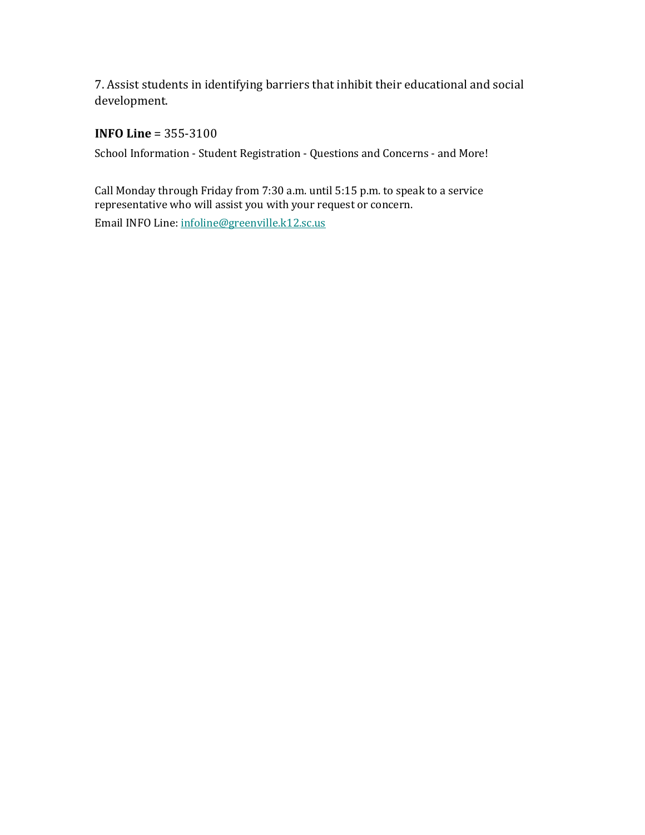7. Assist students in identifying barriers that inhibit their educational and social development.

### **INFO Line** = 355-3100

School Information - Student Registration - Questions and Concerns - and More!

Call Monday through Friday from 7:30 a.m. until 5:15 p.m. to speak to a service representative who will assist you with your request or concern. Email INFO Line: [infoline@greenville.k12.sc.us](mailto:INFOLine@greenville.k12.sc.us)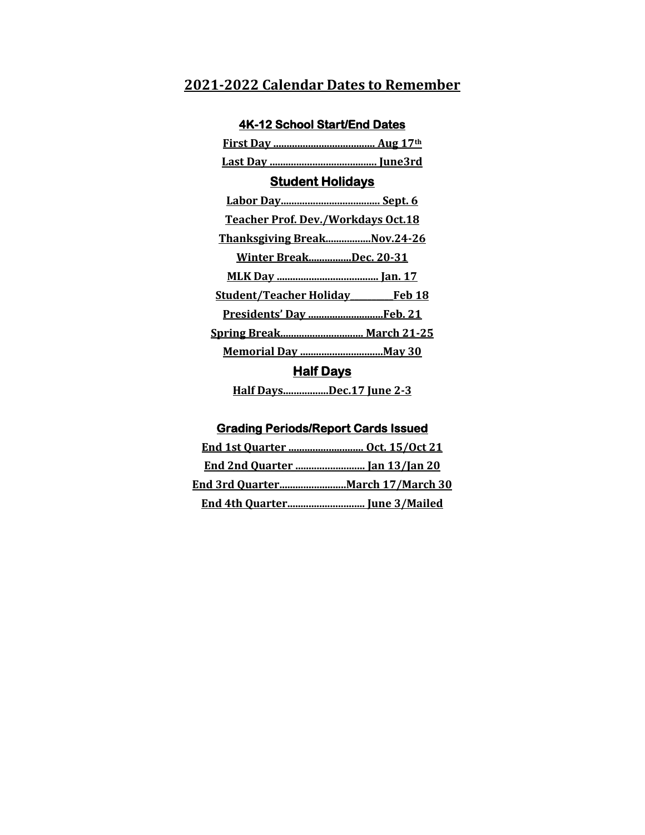# **2021-2022 Calendar Dates to Remember**

| <b>Student Holidays</b>               |
|---------------------------------------|
|                                       |
| Teacher Prof. Dev./Workdays Oct.18    |
| Thanksgiving BreakNov.24-26           |
| <u>Winter BreakDec. 20-31</u>         |
|                                       |
| <b>Student/Teacher Holiday Feb 18</b> |
| Presidents' Day  Feb. 21              |
| <u>Spring Break March 21-25</u>       |
|                                       |
| <b>Half Days</b>                      |
| Half DaysDec.17 June 2-3              |

# **Grading Periods/Report Cards Issued**

| End 4th Quarter June 3/Mailed |
|-------------------------------|

### **4K-12 School Start/End Dates**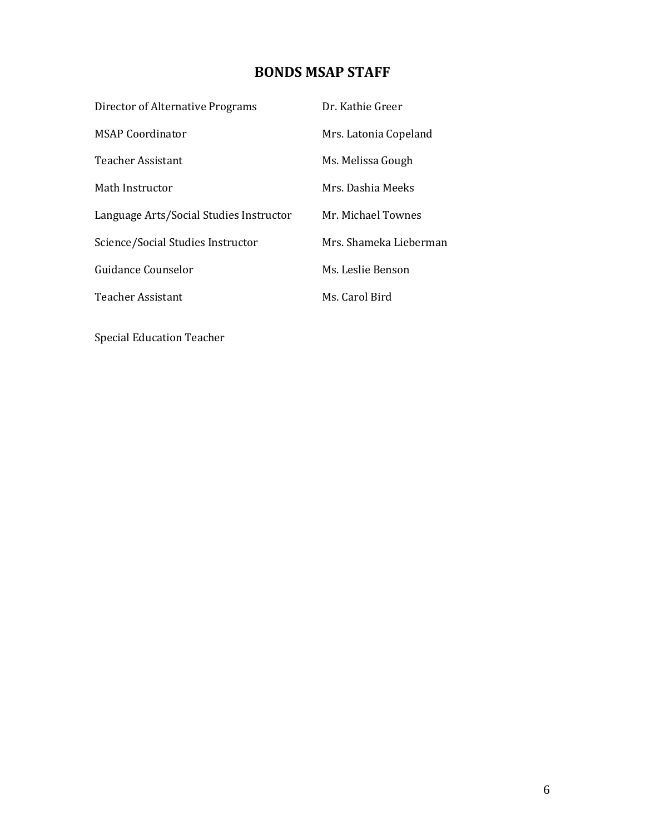# **BONDS MSAP STAFF**

| Director of Alternative Programs        | Dr. Kathie Greer       |
|-----------------------------------------|------------------------|
| <b>MSAP Coordinator</b>                 | Mrs. Latonia Copeland  |
| <b>Teacher Assistant</b>                | Ms. Melissa Gough      |
| Math Instructor                         | Mrs. Dashia Meeks      |
| Language Arts/Social Studies Instructor | Mr. Michael Townes     |
| Science/Social Studies Instructor       | Mrs. Shameka Lieberman |
| Guidance Counselor                      | Ms. Leslie Benson      |
| <b>Teacher Assistant</b>                | Ms. Carol Bird         |

Special Education Teacher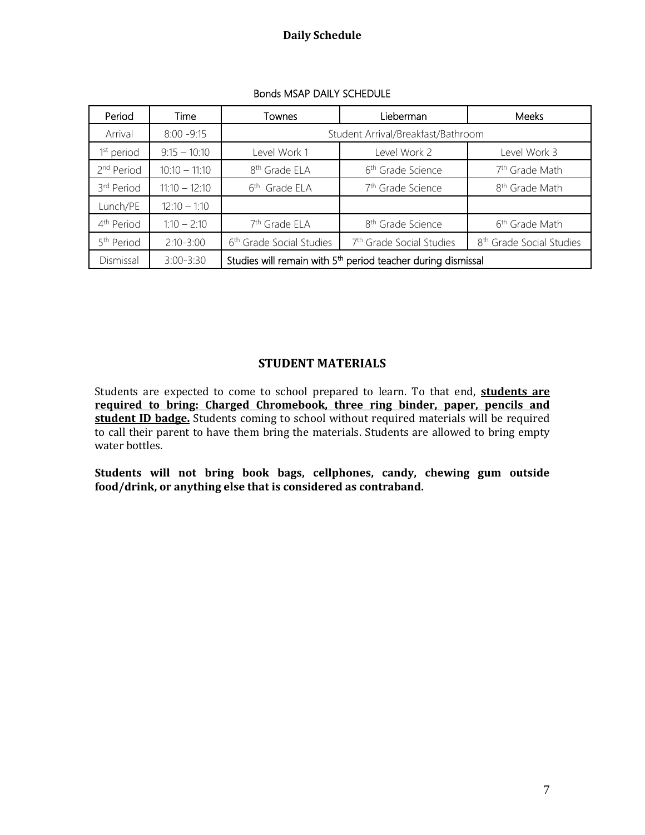### **Daily Schedule**

| Period                 | Time            | Townes                                                                   | Lieberman                            | Meeks                                |
|------------------------|-----------------|--------------------------------------------------------------------------|--------------------------------------|--------------------------------------|
| Arrival                | $8:00 - 9:15$   | Student Arrival/Breakfast/Bathroom                                       |                                      |                                      |
| 1 <sup>st</sup> period | $9:15 - 10:10$  | Level Work 1                                                             | Level Work 2                         | Level Work 3                         |
| 2 <sup>nd</sup> Period | $10:10 - 11:10$ | 8 <sup>th</sup> Grade ELA                                                | 6 <sup>th</sup> Grade Science        | 7 <sup>th</sup> Grade Math           |
| 3rd Period             | $11:10 - 12:10$ | Grade ELA<br>$6^{\text{th}}$                                             | 7 <sup>th</sup> Grade Science        | 8 <sup>th</sup> Grade Math           |
| Lunch/PE               | $12:10 - 1:10$  |                                                                          |                                      |                                      |
| 4 <sup>th</sup> Period | $1:10 - 2:10$   | 7 <sup>th</sup> Grade ELA                                                | 8 <sup>th</sup> Grade Science        | 6 <sup>th</sup> Grade Math           |
| 5 <sup>th</sup> Period | $2:10 - 3:00$   | 6 <sup>th</sup> Grade Social Studies                                     | 7 <sup>th</sup> Grade Social Studies | 8 <sup>th</sup> Grade Social Studies |
| Dismissal              | $3:00 - 3:30$   | Studies will remain with 5 <sup>th</sup> period teacher during dismissal |                                      |                                      |

#### Bonds MSAP DAILY SCHEDULE

#### **STUDENT MATERIALS**

Students are expected to come to school prepared to learn. To that end, **students are required to bring: Charged Chromebook, three ring binder, paper, pencils and**  student ID badge. Students coming to school without required materials will be required to call their parent to have them bring the materials. Students are allowed to bring empty water bottles.

**Students will not bring book bags, cellphones, candy, chewing gum outside food/drink, or anything else that is considered as contraband.**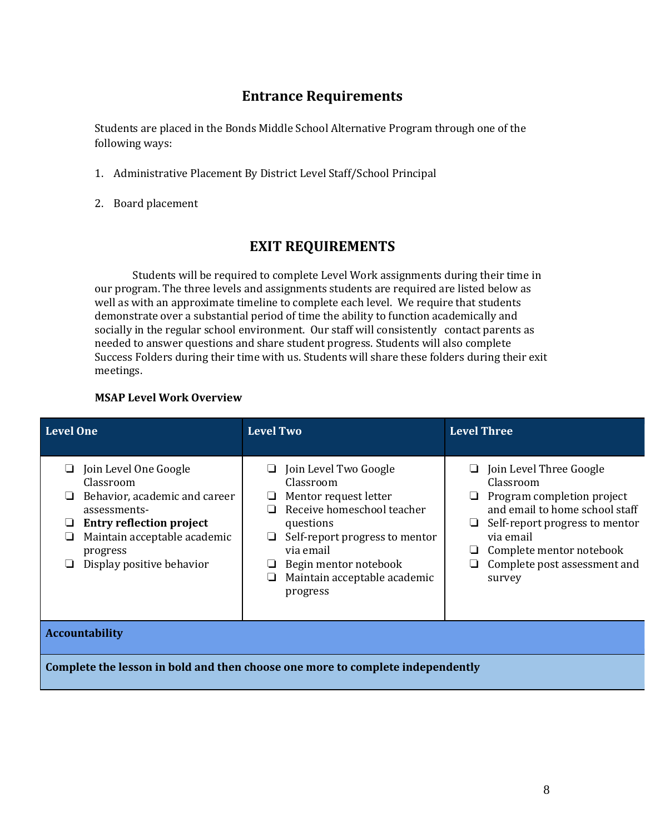### **Entrance Requirements**

Students are placed in the Bonds Middle School Alternative Program through one of the following ways:

- 1. Administrative Placement By District Level Staff/School Principal
- 2. Board placement

### **EXIT REQUIREMENTS**

Students will be required to complete Level Work assignments during their time in our program. The three levels and assignments students are required are listed below as well as with an approximate timeline to complete each level. We require that students demonstrate over a substantial period of time the ability to function academically and socially in the regular school environment. Our staff will consistently contact parents as needed to answer questions and share student progress. Students will also complete Success Folders during their time with us. Students will share these folders during their exit meetings.

#### **MSAP Level Work Overview**

| <b>Level One</b>                                                                                                                                                                                                      | <b>Level Two</b>                                                                                                                                                                                                           | <b>Level Three</b>                                                                                                                                                                                                             |
|-----------------------------------------------------------------------------------------------------------------------------------------------------------------------------------------------------------------------|----------------------------------------------------------------------------------------------------------------------------------------------------------------------------------------------------------------------------|--------------------------------------------------------------------------------------------------------------------------------------------------------------------------------------------------------------------------------|
| $\Box$ Join Level One Google<br>Classroom<br>Behavior, academic and career<br>⊔<br>assessments-<br><b>Entry reflection project</b><br>⊔<br>Maintain acceptable academic<br>⊔<br>progress<br>Display positive behavior | Join Level Two Google<br>Classroom<br>Mentor request letter<br>Receive homeschool teacher<br>questions<br>Self-report progress to mentor<br>via email<br>Begin mentor notebook<br>Maintain acceptable academic<br>progress | Join Level Three Google<br>Classroom<br>Program completion project<br>and email to home school staff<br>Self-report progress to mentor<br>⊔<br>via email<br>Complete mentor notebook<br>Complete post assessment and<br>survey |
| <b>Accountability</b>                                                                                                                                                                                                 |                                                                                                                                                                                                                            |                                                                                                                                                                                                                                |

**Complete the lesson in bold and then choose one more to complete independently**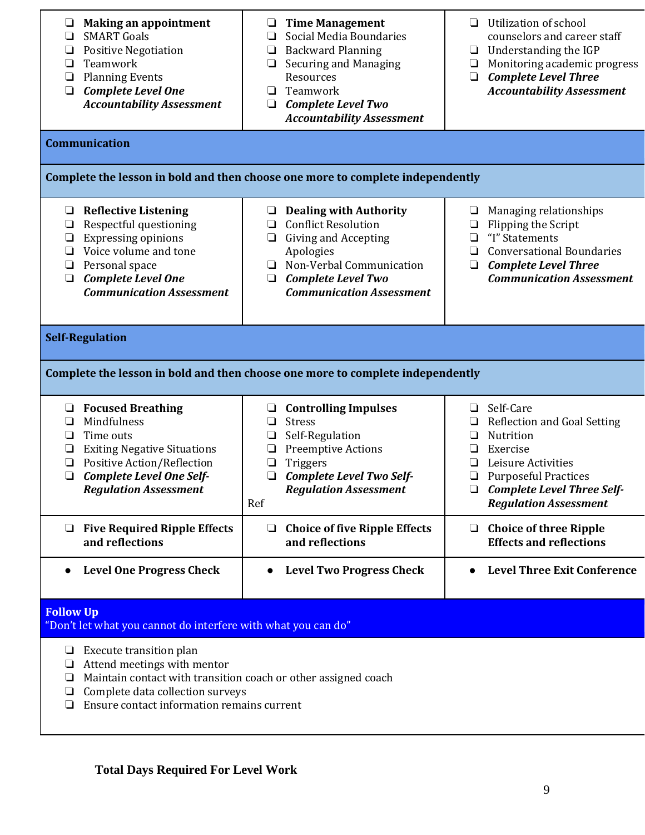| <b>Making an appointment</b><br>□<br><b>SMART Goals</b><br>□<br><b>Positive Negotiation</b><br>$\Box$<br>Teamwork<br>$\Box$<br><b>Planning Events</b><br>$\Box$<br><b>Complete Level One</b><br>$\Box$<br><b>Accountability Assessment</b>  | <b>Time Management</b><br>❏<br>Social Media Boundaries<br>❏<br><b>Backward Planning</b><br>$\Box$<br><b>Securing and Managing</b><br>❏<br>Resources<br>Teamwork<br>❏<br><b>Complete Level Two</b><br>❏<br><b>Accountability Assessment</b> | Utilization of school<br>❏<br>counselors and career staff<br>$\Box$ Understanding the IGP<br>Monitoring academic progress<br>$\Box$<br><b>Complete Level Three</b><br>$\Box$<br><b>Accountability Assessment</b> |  |
|---------------------------------------------------------------------------------------------------------------------------------------------------------------------------------------------------------------------------------------------|--------------------------------------------------------------------------------------------------------------------------------------------------------------------------------------------------------------------------------------------|------------------------------------------------------------------------------------------------------------------------------------------------------------------------------------------------------------------|--|
| <b>Communication</b>                                                                                                                                                                                                                        |                                                                                                                                                                                                                                            |                                                                                                                                                                                                                  |  |
|                                                                                                                                                                                                                                             | Complete the lesson in bold and then choose one more to complete independently                                                                                                                                                             |                                                                                                                                                                                                                  |  |
| <b>Reflective Listening</b><br>⊔<br>Respectful questioning<br>$\Box$<br><b>Expressing opinions</b><br>$\Box$<br>Voice volume and tone<br>❏<br>Personal space<br>❏<br><b>Complete Level One</b><br>$\Box$<br><b>Communication Assessment</b> | <b>Dealing with Authority</b><br>⊔<br><b>Conflict Resolution</b><br>❏<br><b>Giving and Accepting</b><br>$\Box$<br>Apologies<br>Non-Verbal Communication<br>⊔<br><b>Complete Level Two</b><br>❏<br><b>Communication Assessment</b>          | Managing relationships<br>⊔<br>Flipping the Script<br>$\Box$<br>"I" Statements<br>$\Box$<br><b>Conversational Boundaries</b><br>❏<br><b>Complete Level Three</b><br>$\Box$<br><b>Communication Assessment</b>    |  |
| <b>Self-Regulation</b>                                                                                                                                                                                                                      |                                                                                                                                                                                                                                            |                                                                                                                                                                                                                  |  |
| Complete the lesson in bold and then choose one more to complete independently                                                                                                                                                              |                                                                                                                                                                                                                                            |                                                                                                                                                                                                                  |  |
| $\Box$ Focused Breathing<br>Mindfulness<br>$\Box$<br>Time outs<br>□<br><b>Exiting Negative Situations</b><br>□<br><b>Positive Action/Reflection</b><br>$\Box$<br>$\Box$<br><b>Complete Level One Self-</b><br><b>Regulation Assessment</b>  | <b>Controlling Impulses</b><br>❏<br><b>Stress</b><br>❏<br>Self-Regulation<br><b>Preemptive Actions</b><br>⊔<br>Triggers<br>□<br>Complete Level Two Self-<br>❏<br><b>Regulation Assessment</b><br>Ref                                       | □ Self-Care<br><b>Reflection and Goal Setting</b><br>Nutrition<br>Exercise<br>Leisure Activities<br><b>Purposeful Practices</b><br>$\Box$<br>$\Box$ Complete Level Three Self-<br><b>Regulation Assessment</b>   |  |
| $\Box$ Five Required Ripple Effects<br>and reflections                                                                                                                                                                                      | <b>Choice of five Ripple Effects</b><br>$\Box$<br>and reflections                                                                                                                                                                          | $\Box$ Choice of three Ripple<br><b>Effects and reflections</b>                                                                                                                                                  |  |
| <b>Level One Progress Check</b>                                                                                                                                                                                                             | <b>Level Two Progress Check</b><br>$\bullet$                                                                                                                                                                                               | <b>Level Three Exit Conference</b>                                                                                                                                                                               |  |
| <b>Follow Up</b><br>"Don't let what you cannot do interfere with what you can do"                                                                                                                                                           |                                                                                                                                                                                                                                            |                                                                                                                                                                                                                  |  |
| Execute transition plan<br>⊔<br>Attend meetings with mentor<br>⊔<br>Maintain contact with transition coach or other assigned coach<br>❏<br>Complete data collection surveys<br>$\Box$<br>Ensure contact information remains current<br>□    |                                                                                                                                                                                                                                            |                                                                                                                                                                                                                  |  |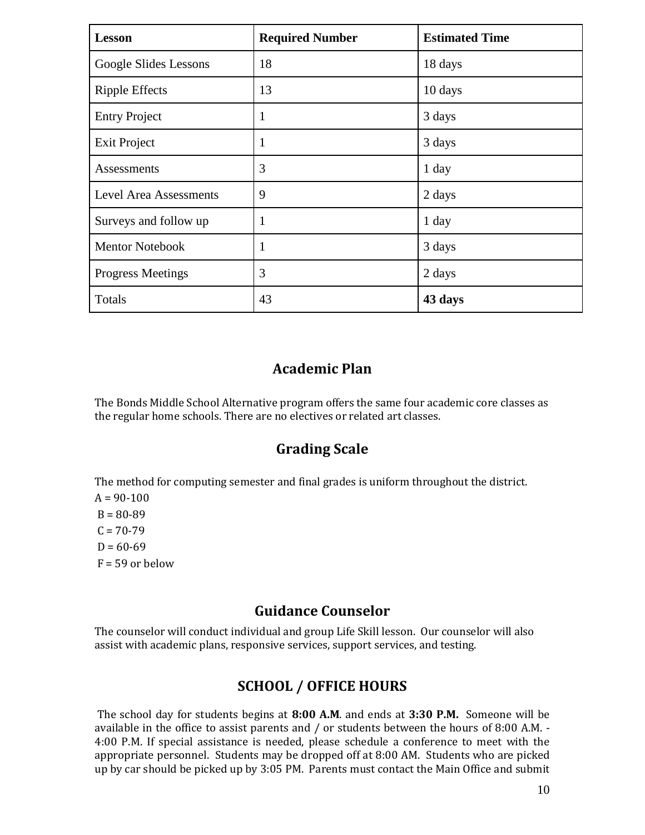| <b>Lesson</b>                 | <b>Required Number</b> | <b>Estimated Time</b> |
|-------------------------------|------------------------|-----------------------|
| Google Slides Lessons         | 18                     | 18 days               |
| <b>Ripple Effects</b>         | 13                     | 10 days               |
| <b>Entry Project</b>          | $\mathbf{1}$           | 3 days                |
| <b>Exit Project</b>           | 1                      | 3 days                |
| Assessments                   | 3                      | 1 day                 |
| <b>Level Area Assessments</b> | 9                      | 2 days                |
| Surveys and follow up         | 1                      | 1 day                 |
| <b>Mentor Notebook</b>        | 1                      | 3 days                |
| <b>Progress Meetings</b>      | 3                      | 2 days                |
| Totals                        | 43                     | 43 days               |

### **Academic Plan**

The Bonds Middle School Alternative program offers the same four academic core classes as the regular home schools. There are no electives or related art classes.

### **Grading Scale**

The method for computing semester and final grades is uniform throughout the district.

 $A = 90 - 100$ 

 $B = 80 - 89$  $C = 70-79$ 

 $D = 60-69$ 

 $F = 59$  or below

### **Guidance Counselor**

The counselor will conduct individual and group Life Skill lesson. Our counselor will also assist with academic plans, responsive services, support services, and testing.

# **SCHOOL / OFFICE HOURS**

The school day for students begins at **8:00 A.M**. and ends at **3:30 P.M.** Someone will be available in the office to assist parents and / or students between the hours of 8:00 A.M. - 4:00 P.M. If special assistance is needed, please schedule a conference to meet with the appropriate personnel. Students may be dropped off at 8:00 AM. Students who are picked up by car should be picked up by 3:05 PM. Parents must contact the Main Office and submit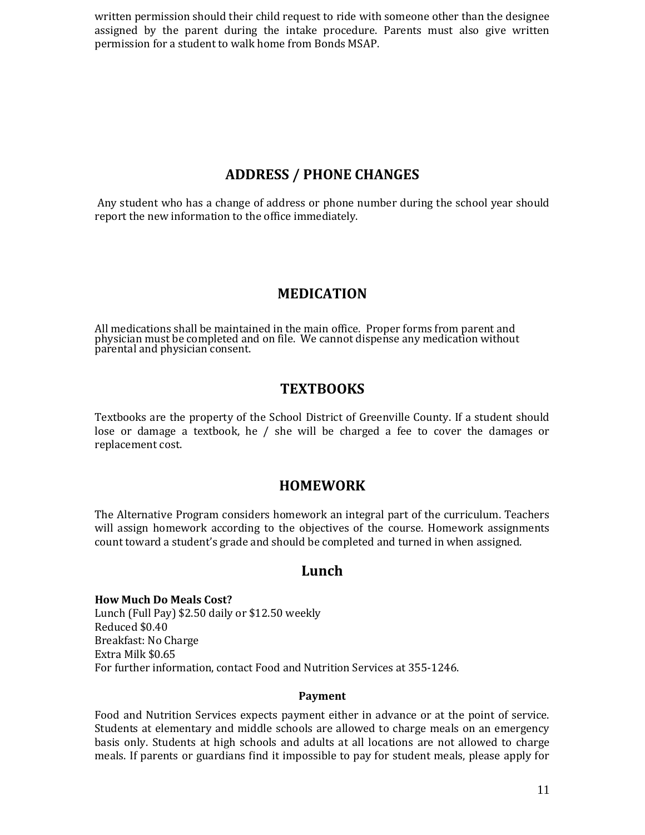written permission should their child request to ride with someone other than the designee assigned by the parent during the intake procedure. Parents must also give written permission for a student to walk home from Bonds MSAP.

### **ADDRESS / PHONE CHANGES**

Any student who has a change of address or phone number during the school year should report the new information to the office immediately.

### **MEDICATION**

All medications shall be maintained in the main office. Proper forms from parent and physician must be completed and on file. We cannot dispense any medication without parental and physician consent.

### **TEXTBOOKS**

Textbooks are the property of the School District of Greenville County. If a student should lose or damage a textbook, he / she will be charged a fee to cover the damages or replacement cost.

### **HOMEWORK**

The Alternative Program considers homework an integral part of the curriculum. Teachers will assign homework according to the objectives of the course. Homework assignments count toward a student's grade and should be completed and turned in when assigned.

### **Lunch**

**How Much Do Meals Cost?** Lunch (Full Pay) \$2.50 daily or \$12.50 weekly Reduced \$0.40 Breakfast: No Charge Extra Milk \$0.65 For further information, contact Food and Nutrition Services at 355-1246.

#### **Payment**

Food and Nutrition Services expects payment either in advance or at the point of service. Students at elementary and middle schools are allowed to charge meals on an emergency basis only. Students at high schools and adults at all locations are not allowed to charge meals. If parents or guardians find it impossible to pay for student meals, please apply for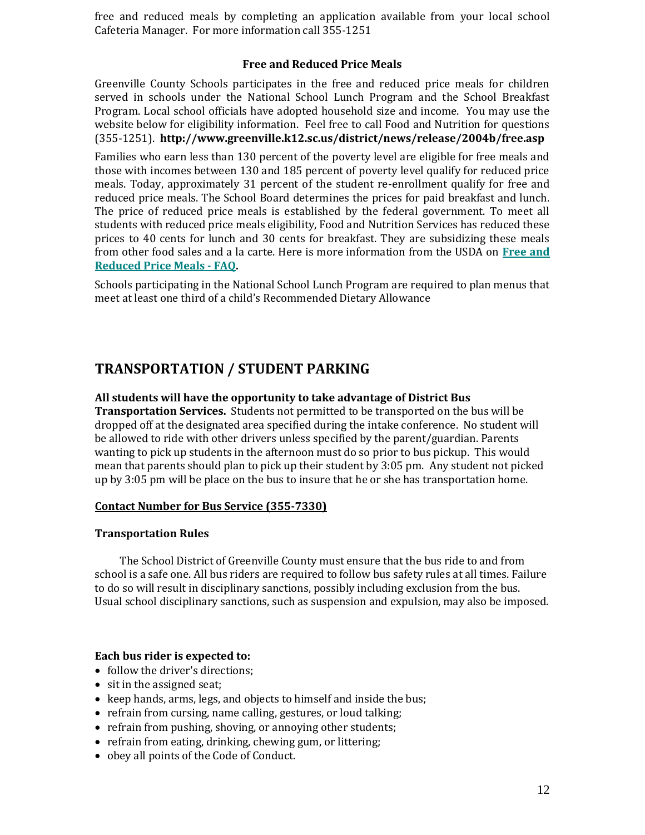free and reduced meals by completing an application available from your local school Cafeteria Manager. For more information call 355-1251

#### **Free and Reduced Price Meals**

Greenville County Schools participates in the free and reduced price meals for children served in schools under the National School Lunch Program and the School Breakfast Program. Local school officials have adopted household size and income. You may use the website below for eligibility information. Feel free to call Food and Nutrition for questions (355-1251). **http://www.greenville.k12.sc.us/district/news/release/2004b/free.asp**

Families who earn less than 130 percent of the poverty level are eligible for free meals and those with incomes between 130 and 185 percent of poverty level qualify for reduced price meals. Today, approximately 31 percent of the student re-enrollment qualify for free and reduced price meals. The School Board determines the prices for paid breakfast and lunch. The price of reduced price meals is established by the federal government. To meet all students with reduced price meals eligibility, Food and Nutrition Services has reduced these prices to 40 cents for lunch and 30 cents for breakfast. They are subsidizing these meals from other food sales and a la carte. Here is more information from the USDA on **[Free and](http://www.fns.usda.gov/cnd/lunch/)  [Reduced Price Meals -](http://www.fns.usda.gov/cnd/lunch/) FAQ.**

Schools participating in the National School Lunch Program are required to plan menus that meet at least one third of a child's Recommended Dietary Allowance

### **TRANSPORTATION / STUDENT PARKING**

#### **All students will have the opportunity to take advantage of District Bus**

**Transportation Services.** Students not permitted to be transported on the bus will be dropped off at the designated area specified during the intake conference. No student will be allowed to ride with other drivers unless specified by the parent/guardian. Parents wanting to pick up students in the afternoon must do so prior to bus pickup. This would mean that parents should plan to pick up their student by 3:05 pm. Any student not picked up by 3:05 pm will be place on the bus to insure that he or she has transportation home.

#### **Contact Number for Bus Service (355-7330)**

#### **Transportation Rules**

The School District of Greenville County must ensure that the bus ride to and from school is a safe one. All bus riders are required to follow bus safety rules at all times. Failure to do so will result in disciplinary sanctions, possibly including exclusion from the bus. Usual school disciplinary sanctions, such as suspension and expulsion, may also be imposed.

#### **Each bus rider is expected to:**

- follow the driver's directions;
- sit in the assigned seat;
- keep hands, arms, legs, and objects to himself and inside the bus;
- refrain from cursing, name calling, gestures, or loud talking;
- refrain from pushing, shoving, or annoying other students;
- refrain from eating, drinking, chewing gum, or littering;
- obey all points of the Code of Conduct.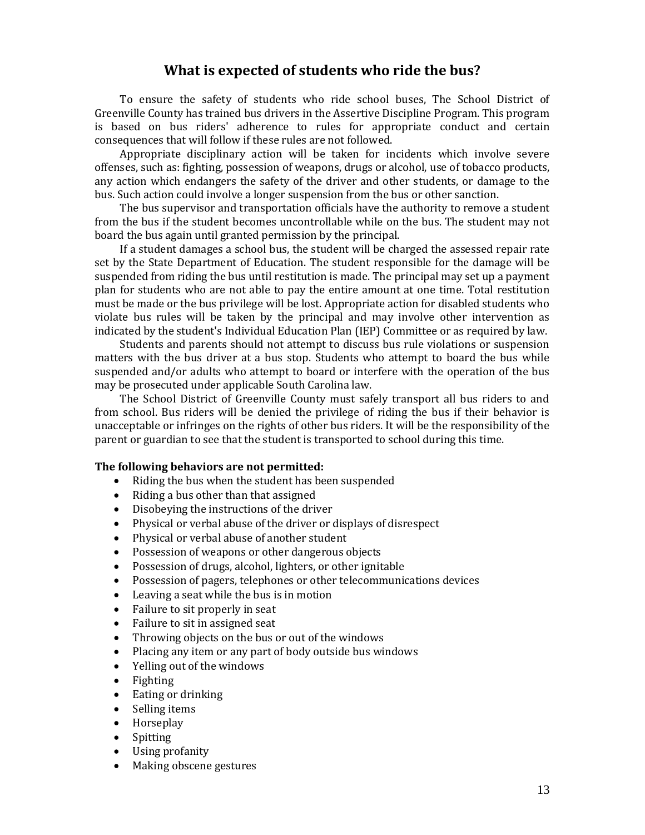### **What is expected of students who ride the bus?**

To ensure the safety of students who ride school buses, The School District of Greenville County has trained bus drivers in the Assertive Discipline Program. This program is based on bus riders' adherence to rules for appropriate conduct and certain consequences that will follow if these rules are not followed.

Appropriate disciplinary action will be taken for incidents which involve severe offenses, such as: fighting, possession of weapons, drugs or alcohol, use of tobacco products, any action which endangers the safety of the driver and other students, or damage to the bus. Such action could involve a longer suspension from the bus or other sanction.

The bus supervisor and transportation officials have the authority to remove a student from the bus if the student becomes uncontrollable while on the bus. The student may not board the bus again until granted permission by the principal.

If a student damages a school bus, the student will be charged the assessed repair rate set by the State Department of Education. The student responsible for the damage will be suspended from riding the bus until restitution is made. The principal may set up a payment plan for students who are not able to pay the entire amount at one time. Total restitution must be made or the bus privilege will be lost. Appropriate action for disabled students who violate bus rules will be taken by the principal and may involve other intervention as indicated by the student's Individual Education Plan (IEP) Committee or as required by law.

Students and parents should not attempt to discuss bus rule violations or suspension matters with the bus driver at a bus stop. Students who attempt to board the bus while suspended and/or adults who attempt to board or interfere with the operation of the bus may be prosecuted under applicable South Carolina law.

The School District of Greenville County must safely transport all bus riders to and from school. Bus riders will be denied the privilege of riding the bus if their behavior is unacceptable or infringes on the rights of other bus riders. It will be the responsibility of the parent or guardian to see that the student is transported to school during this time.

#### **The following behaviors are not permitted:**

- Riding the bus when the student has been suspended
- Riding a bus other than that assigned
- Disobeying the instructions of the driver
- Physical or verbal abuse of the driver or displays of disrespect
- Physical or verbal abuse of another student
- Possession of weapons or other dangerous objects
- Possession of drugs, alcohol, lighters, or other ignitable
- Possession of pagers, telephones or other telecommunications devices
- Leaving a seat while the bus is in motion
- Failure to sit properly in seat
- Failure to sit in assigned seat
- Throwing objects on the bus or out of the windows
- Placing any item or any part of body outside bus windows
- Yelling out of the windows
- Fighting
- Eating or drinking
- Selling items
- Horseplay
- Spitting
- Using profanity
- Making obscene gestures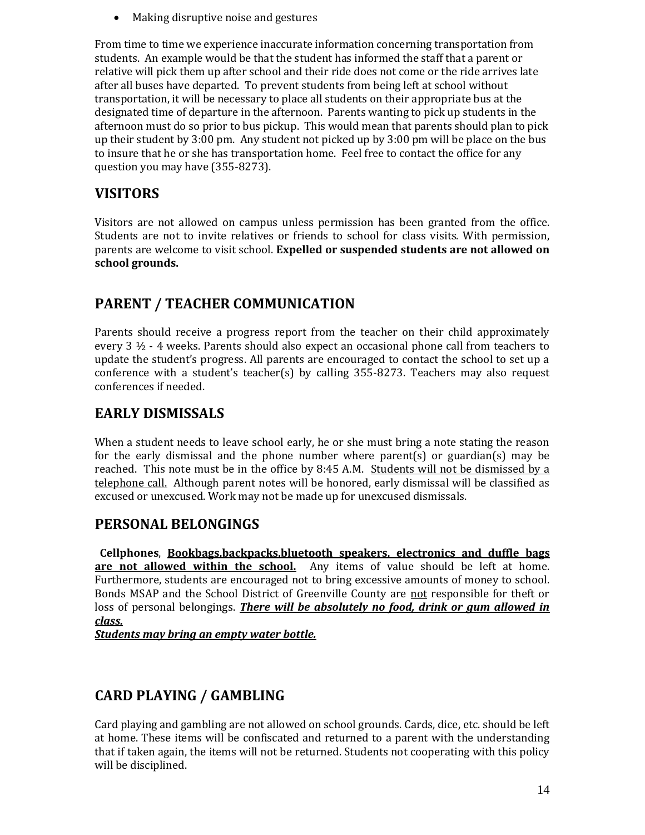• Making disruptive noise and gestures

From time to time we experience inaccurate information concerning transportation from students. An example would be that the student has informed the staff that a parent or relative will pick them up after school and their ride does not come or the ride arrives late after all buses have departed. To prevent students from being left at school without transportation, it will be necessary to place all students on their appropriate bus at the designated time of departure in the afternoon. Parents wanting to pick up students in the afternoon must do so prior to bus pickup. This would mean that parents should plan to pick up their student by 3:00 pm. Any student not picked up by 3:00 pm will be place on the bus to insure that he or she has transportation home. Feel free to contact the office for any question you may have (355-8273).

# **VISITORS**

Visitors are not allowed on campus unless permission has been granted from the office. Students are not to invite relatives or friends to school for class visits. With permission, parents are welcome to visit school. **Expelled or suspended students are not allowed on school grounds.**

# **PARENT / TEACHER COMMUNICATION**

Parents should receive a progress report from the teacher on their child approximately every  $3 \frac{1}{2}$  - 4 weeks. Parents should also expect an occasional phone call from teachers to update the student's progress. All parents are encouraged to contact the school to set up a conference with a student's teacher(s) by calling  $355-8273$ . Teachers may also request conferences if needed.

# **EARLY DISMISSALS**

When a student needs to leave school early, he or she must bring a note stating the reason for the early dismissal and the phone number where parent(s) or guardian(s) may be reached. This note must be in the office by 8:45 A.M. Students will not be dismissed by a telephone call. Although parent notes will be honored, early dismissal will be classified as excused or unexcused. Work may not be made up for unexcused dismissals.

# **PERSONAL BELONGINGS**

**Cellphones**, **Bookbags,backpacks,bluetooth speakers, electronics and duffle bags are not allowed within the school.** Any items of value should be left at home. Furthermore, students are encouraged not to bring excessive amounts of money to school. Bonds MSAP and the School District of Greenville County are not responsible for theft or loss of personal belongings. *There will be absolutely no food, drink or gum allowed in class.*

*Students may bring an empty water bottle.* 

# **CARD PLAYING / GAMBLING**

Card playing and gambling are not allowed on school grounds. Cards, dice, etc. should be left at home. These items will be confiscated and returned to a parent with the understanding that if taken again, the items will not be returned. Students not cooperating with this policy will be disciplined.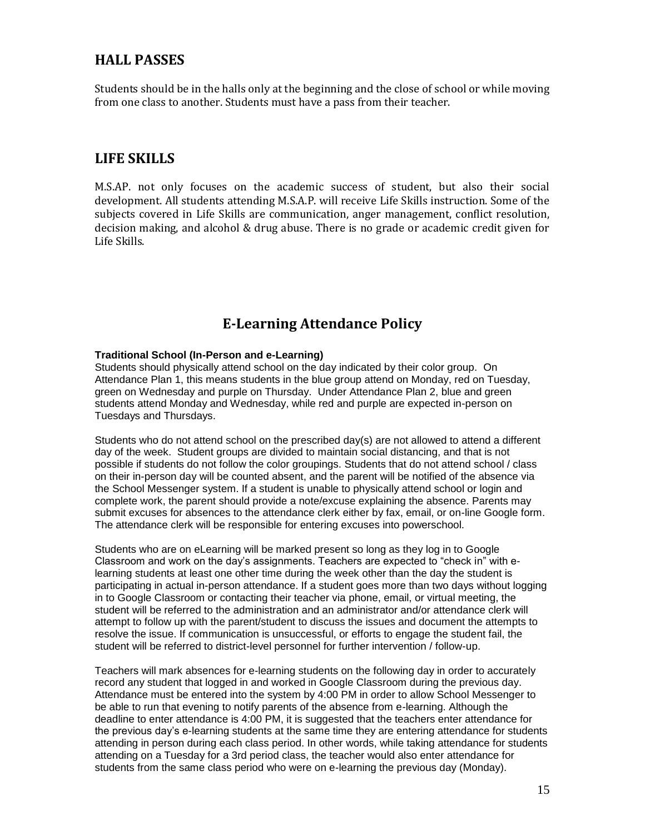### **HALL PASSES**

Students should be in the halls only at the beginning and the close of school or while moving from one class to another. Students must have a pass from their teacher.

### **LIFE SKILLS**

M.S.AP. not only focuses on the academic success of student, but also their social development. All students attending M.S.A.P. will receive Life Skills instruction. Some of the subjects covered in Life Skills are communication, anger management, conflict resolution, decision making, and alcohol & drug abuse. There is no grade or academic credit given for Life Skills.

# **E-Learning Attendance Policy**

#### **Traditional School (In-Person and e-Learning)**

Students should physically attend school on the day indicated by their color group. On Attendance Plan 1, this means students in the blue group attend on Monday, red on Tuesday, green on Wednesday and purple on Thursday. Under Attendance Plan 2, blue and green students attend Monday and Wednesday, while red and purple are expected in-person on Tuesdays and Thursdays.

Students who do not attend school on the prescribed day(s) are not allowed to attend a different day of the week. Student groups are divided to maintain social distancing, and that is not possible if students do not follow the color groupings. Students that do not attend school / class on their in-person day will be counted absent, and the parent will be notified of the absence via the School Messenger system. If a student is unable to physically attend school or login and complete work, the parent should provide a note/excuse explaining the absence. Parents may submit excuses for absences to the attendance clerk either by fax, email, or on-line Google form. The attendance clerk will be responsible for entering excuses into powerschool.

Students who are on eLearning will be marked present so long as they log in to Google Classroom and work on the day's assignments. Teachers are expected to "check in" with elearning students at least one other time during the week other than the day the student is participating in actual in-person attendance. If a student goes more than two days without logging in to Google Classroom or contacting their teacher via phone, email, or virtual meeting, the student will be referred to the administration and an administrator and/or attendance clerk will attempt to follow up with the parent/student to discuss the issues and document the attempts to resolve the issue. If communication is unsuccessful, or efforts to engage the student fail, the student will be referred to district-level personnel for further intervention / follow-up.

Teachers will mark absences for e-learning students on the following day in order to accurately record any student that logged in and worked in Google Classroom during the previous day. Attendance must be entered into the system by 4:00 PM in order to allow School Messenger to be able to run that evening to notify parents of the absence from e-learning. Although the deadline to enter attendance is 4:00 PM, it is suggested that the teachers enter attendance for the previous day's e-learning students at the same time they are entering attendance for students attending in person during each class period. In other words, while taking attendance for students attending on a Tuesday for a 3rd period class, the teacher would also enter attendance for students from the same class period who were on e-learning the previous day (Monday).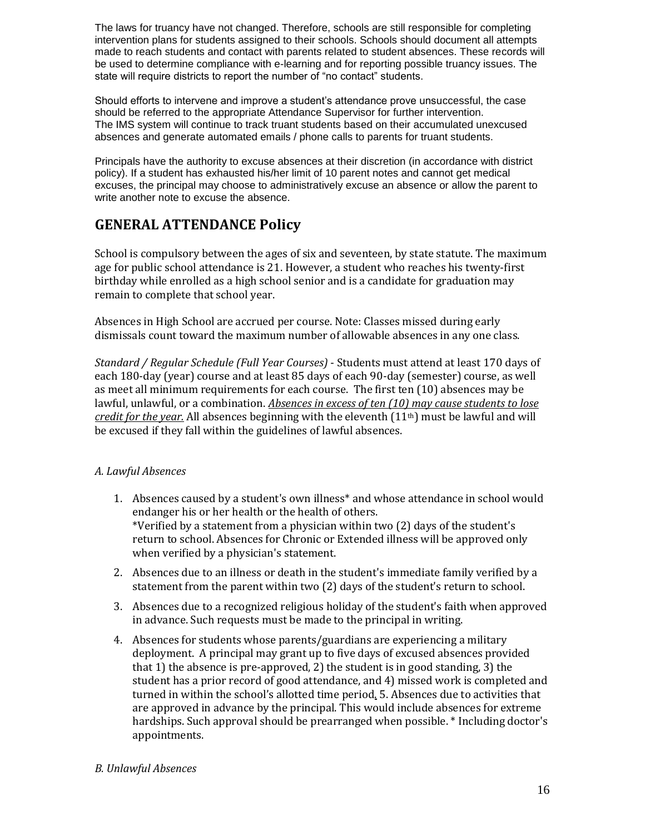The laws for truancy have not changed. Therefore, schools are still responsible for completing intervention plans for students assigned to their schools. Schools should document all attempts made to reach students and contact with parents related to student absences. These records will be used to determine compliance with e-learning and for reporting possible truancy issues. The state will require districts to report the number of "no contact" students.

Should efforts to intervene and improve a student's attendance prove unsuccessful, the case should be referred to the appropriate Attendance Supervisor for further intervention. The IMS system will continue to track truant students based on their accumulated unexcused absences and generate automated emails / phone calls to parents for truant students.

Principals have the authority to excuse absences at their discretion (in accordance with district policy). If a student has exhausted his/her limit of 10 parent notes and cannot get medical excuses, the principal may choose to administratively excuse an absence or allow the parent to write another note to excuse the absence.

# **GENERAL ATTENDANCE Policy**

School is compulsory between the ages of six and seventeen, by state statute. The maximum age for public school attendance is 21. However, a student who reaches his twenty-first birthday while enrolled as a high school senior and is a candidate for graduation may remain to complete that school year.

Absences in High School are accrued per course. Note: Classes missed during early dismissals count toward the maximum number of allowable absences in any one class.

*Standard / Regular Schedule (Full Year Courses)* - Students must attend at least 170 days of each 180-day (year) course and at least 85 days of each 90-day (semester) course, as well as meet all minimum requirements for each course. The first ten (10) absences may be lawful, unlawful, or a combination. *Absences in excess of ten (10) may cause students to lose credit for the year.* All absences beginning with the eleventh (11th) must be lawful and will be excused if they fall within the guidelines of lawful absences.

#### *A. Lawful Absences*

- 1. Absences caused by a student's own illness\* and whose attendance in school would endanger his or her health or the health of others. \*Verified by a statement from a physician within two (2) days of the student's return to school. Absences for Chronic or Extended illness will be approved only when verified by a physician's statement.
- 2. Absences due to an illness or death in the student's immediate family verified by a statement from the parent within two (2) days of the student's return to school.
- 3. Absences due to a recognized religious holiday of the student's faith when approved in advance. Such requests must be made to the principal in writing.
- 4. Absences for students whose parents/guardians are experiencing a military deployment. A principal may grant up to five days of excused absences provided that 1) the absence is pre-approved, 2) the student is in good standing, 3) the student has a prior record of good attendance, and 4) missed work is completed and turned in within the school's allotted time period. 5. Absences due to activities that are approved in advance by the principal. This would include absences for extreme hardships. Such approval should be prearranged when possible. \* Including doctor's appointments.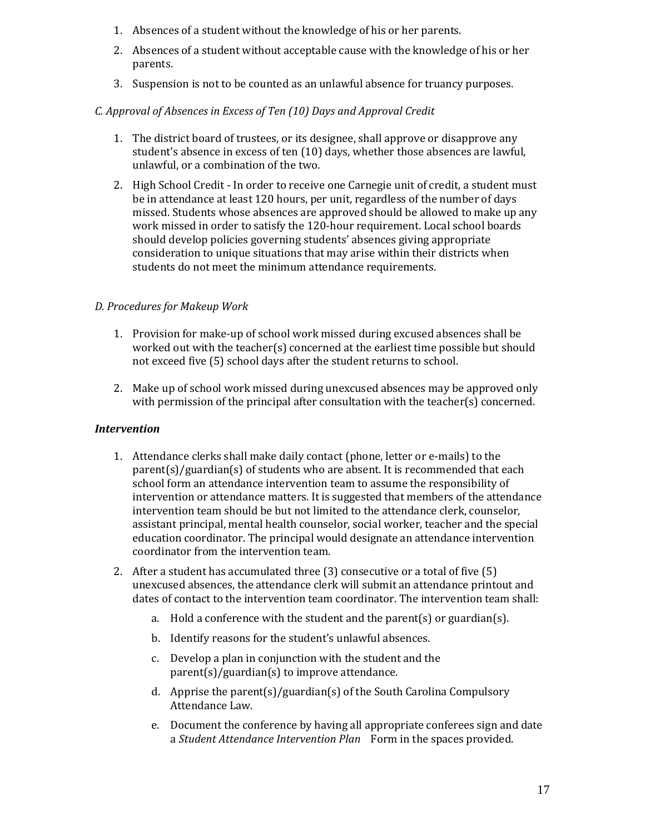- 1. Absences of a student without the knowledge of his or her parents.
- 2. Absences of a student without acceptable cause with the knowledge of his or her parents.
- 3. Suspension is not to be counted as an unlawful absence for truancy purposes.

### *C. Approval of Absences in Excess of Ten (10) Days and Approval Credit*

- 1. The district board of trustees, or its designee, shall approve or disapprove any student's absence in excess of ten (10) days, whether those absences are lawful, unlawful, or a combination of the two.
- 2. High School Credit In order to receive one Carnegie unit of credit, a student must be in attendance at least 120 hours, per unit, regardless of the number of days missed. Students whose absences are approved should be allowed to make up any work missed in order to satisfy the 120-hour requirement. Local school boards should develop policies governing students' absences giving appropriate consideration to unique situations that may arise within their districts when students do not meet the minimum attendance requirements.

### *D. Procedures for Makeup Work*

- 1. Provision for make-up of school work missed during excused absences shall be worked out with the teacher(s) concerned at the earliest time possible but should not exceed five (5) school days after the student returns to school.
- 2. Make up of school work missed during unexcused absences may be approved only with permission of the principal after consultation with the teacher(s) concerned.

#### *Intervention*

- 1. Attendance clerks shall make daily contact (phone, letter or e-mails) to the parent(s)/guardian(s) of students who are absent. It is recommended that each school form an attendance intervention team to assume the responsibility of intervention or attendance matters. It is suggested that members of the attendance intervention team should be but not limited to the attendance clerk, counselor, assistant principal, mental health counselor, social worker, teacher and the special education coordinator. The principal would designate an attendance intervention coordinator from the intervention team.
- 2. After a student has accumulated three (3) consecutive or a total of five (5) unexcused absences, the attendance clerk will submit an attendance printout and dates of contact to the intervention team coordinator. The intervention team shall:
	- a. Hold a conference with the student and the parent(s) or guardian(s).
	- b. Identify reasons for the student's unlawful absences.
	- c. Develop a plan in conjunction with the student and the parent(s)/guardian(s) to improve attendance.
	- d. Apprise the parent(s)/guardian(s) of the South Carolina Compulsory Attendance Law.
	- e. Document the conference by having all appropriate conferees sign and date a *Student Attendance Intervention Plan* Form in the spaces provided.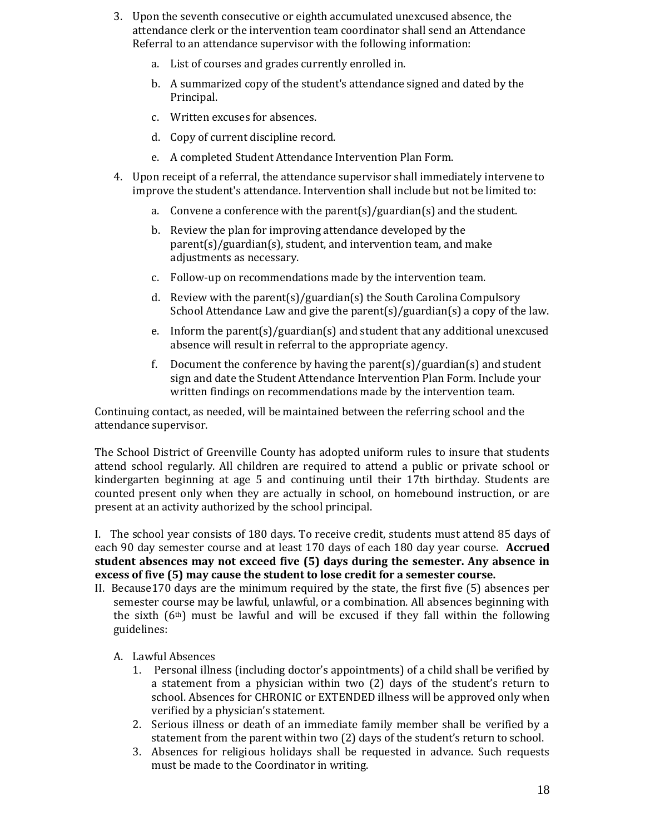- 3. Upon the seventh consecutive or eighth accumulated unexcused absence, the attendance clerk or the intervention team coordinator shall send an Attendance Referral to an attendance supervisor with the following information:
	- a. List of courses and grades currently enrolled in.
	- b. A summarized copy of the student's attendance signed and dated by the Principal.
	- c. Written excuses for absences.
	- d. Copy of current discipline record.
	- e. A completed Student Attendance Intervention Plan Form.
- 4. Upon receipt of a referral, the attendance supervisor shall immediately intervene to improve the student's attendance. Intervention shall include but not be limited to:
	- a. Convene a conference with the parent(s)/guardian(s) and the student.
	- b. Review the plan for improving attendance developed by the parent(s)/guardian(s), student, and intervention team, and make adjustments as necessary.
	- c. Follow-up on recommendations made by the intervention team.
	- d. Review with the parent(s)/guardian(s) the South Carolina Compulsory School Attendance Law and give the parent(s)/guardian(s) a copy of the law.
	- e. Inform the parent(s)/guardian(s) and student that any additional unexcused absence will result in referral to the appropriate agency.
	- f. Document the conference by having the parent(s)/guardian(s) and student sign and date the Student Attendance Intervention Plan Form. Include your written findings on recommendations made by the intervention team.

Continuing contact, as needed, will be maintained between the referring school and the attendance supervisor.

The School District of Greenville County has adopted uniform rules to insure that students attend school regularly. All children are required to attend a public or private school or kindergarten beginning at age 5 and continuing until their 17th birthday. Students are counted present only when they are actually in school, on homebound instruction, or are present at an activity authorized by the school principal.

I. The school year consists of 180 days. To receive credit, students must attend 85 days of each 90 day semester course and at least 170 days of each 180 day year course. **Accrued student absences may not exceed five (5) days during the semester. Any absence in excess of five (5) may cause the student to lose credit for a semester course.** 

- II. Because170 days are the minimum required by the state, the first five (5) absences per semester course may be lawful, unlawful, or a combination. All absences beginning with the sixth  $(6<sup>th</sup>)$  must be lawful and will be excused if they fall within the following guidelines:
	- A. Lawful Absences
		- 1. Personal illness (including doctor's appointments) of a child shall be verified by a statement from a physician within two (2) days of the student's return to school. Absences for CHRONIC or EXTENDED illness will be approved only when verified by a physician's statement.
		- 2. Serious illness or death of an immediate family member shall be verified by a statement from the parent within two (2) days of the student's return to school.
		- 3. Absences for religious holidays shall be requested in advance. Such requests must be made to the Coordinator in writing.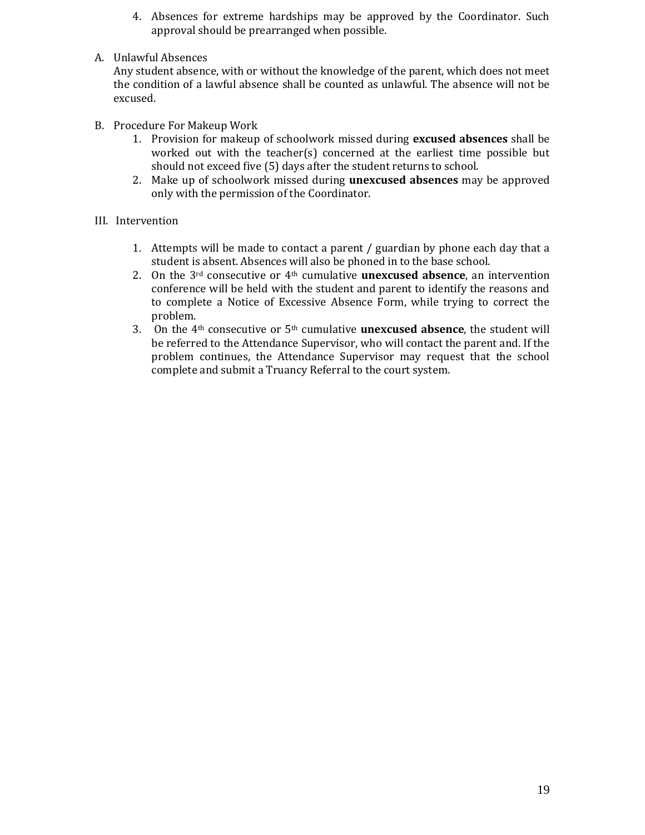- 4. Absences for extreme hardships may be approved by the Coordinator. Such approval should be prearranged when possible.
- A. Unlawful Absences

Any student absence, with or without the knowledge of the parent, which does not meet the condition of a lawful absence shall be counted as unlawful. The absence will not be excused.

- B. Procedure For Makeup Work
	- 1. Provision for makeup of schoolwork missed during **excused absences** shall be worked out with the teacher(s) concerned at the earliest time possible but should not exceed five (5) days after the student returns to school.
	- 2. Make up of schoolwork missed during **unexcused absences** may be approved only with the permission of the Coordinator.

#### III. Intervention

- 1. Attempts will be made to contact a parent / guardian by phone each day that a student is absent. Absences will also be phoned in to the base school.
- 2. On the 3rd consecutive or 4th cumulative **unexcused absence**, an intervention conference will be held with the student and parent to identify the reasons and to complete a Notice of Excessive Absence Form, while trying to correct the problem.
- 3. On the 4th consecutive or 5th cumulative **unexcused absence**, the student will be referred to the Attendance Supervisor, who will contact the parent and. If the problem continues, the Attendance Supervisor may request that the school complete and submit a Truancy Referral to the court system.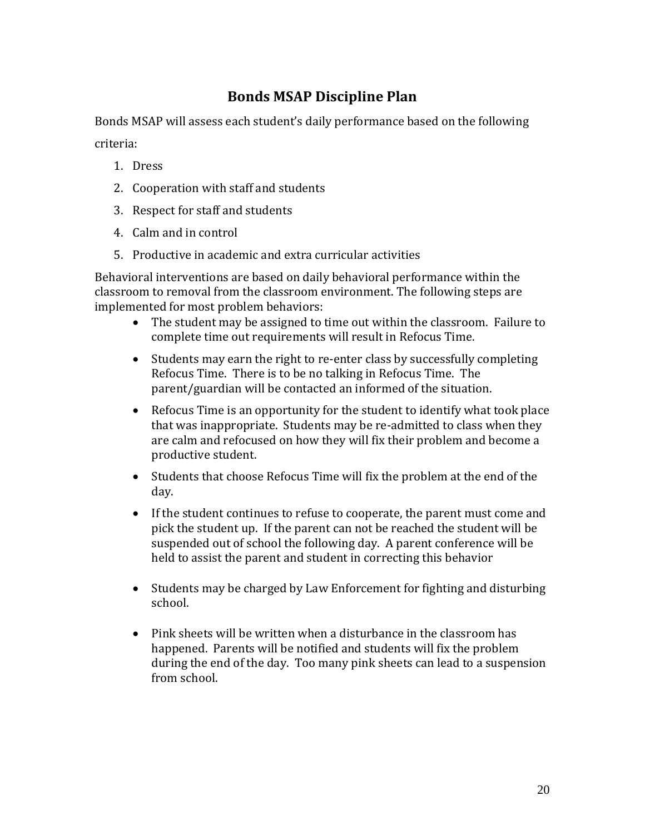# **Bonds MSAP Discipline Plan**

Bonds MSAP will assess each student's daily performance based on the following criteria:

- 1. Dress
- 2. Cooperation with staff and students
- 3. Respect for staff and students
- 4. Calm and in control
- 5. Productive in academic and extra curricular activities

Behavioral interventions are based on daily behavioral performance within the classroom to removal from the classroom environment. The following steps are implemented for most problem behaviors:

- The student may be assigned to time out within the classroom. Failure to complete time out requirements will result in Refocus Time.
- Students may earn the right to re-enter class by successfully completing Refocus Time. There is to be no talking in Refocus Time. The parent/guardian will be contacted an informed of the situation.
- Refocus Time is an opportunity for the student to identify what took place that was inappropriate. Students may be re-admitted to class when they are calm and refocused on how they will fix their problem and become a productive student.
- Students that choose Refocus Time will fix the problem at the end of the day.
- If the student continues to refuse to cooperate, the parent must come and pick the student up. If the parent can not be reached the student will be suspended out of school the following day. A parent conference will be held to assist the parent and student in correcting this behavior
- Students may be charged by Law Enforcement for fighting and disturbing school.
- Pink sheets will be written when a disturbance in the classroom has happened. Parents will be notified and students will fix the problem during the end of the day. Too many pink sheets can lead to a suspension from school.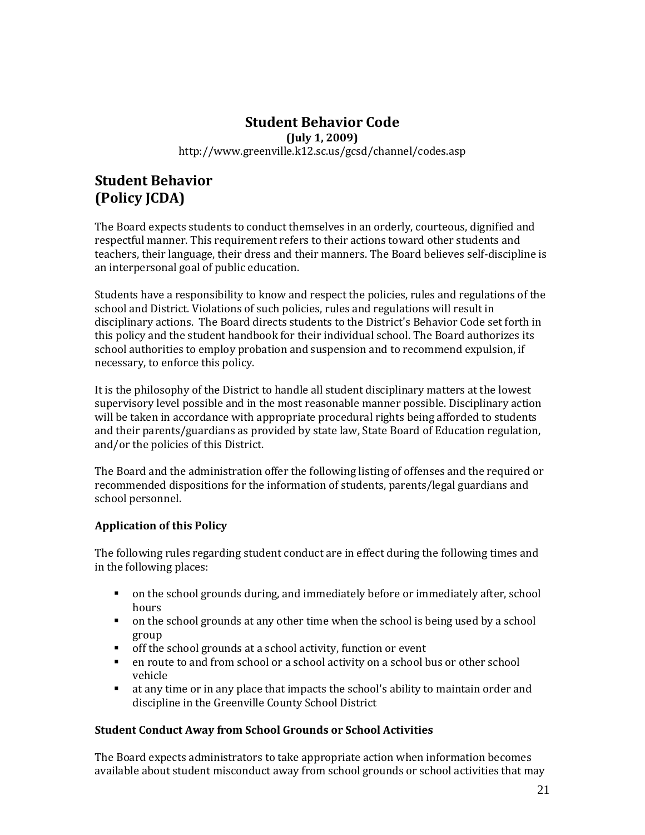### **Student Behavior Code (July 1, 2009)** http://www.greenville.k12.sc.us/gcsd/channel/codes.asp

# **Student Behavior (Policy JCDA)**

The Board expects students to conduct themselves in an orderly, courteous, dignified and respectful manner. This requirement refers to their actions toward other students and teachers, their language, their dress and their manners. The Board believes self-discipline is an interpersonal goal of public education.

Students have a responsibility to know and respect the policies, rules and regulations of the school and District. Violations of such policies, rules and regulations will result in disciplinary actions. The Board directs students to the District's Behavior Code set forth in this policy and the student handbook for their individual school. The Board authorizes its school authorities to employ probation and suspension and to recommend expulsion, if necessary, to enforce this policy.

It is the philosophy of the District to handle all student disciplinary matters at the lowest supervisory level possible and in the most reasonable manner possible. Disciplinary action will be taken in accordance with appropriate procedural rights being afforded to students and their parents/guardians as provided by state law, State Board of Education regulation, and/or the policies of this District.

The Board and the administration offer the following listing of offenses and the required or recommended dispositions for the information of students, parents/legal guardians and school personnel.

### **Application of this Policy**

The following rules regarding student conduct are in effect during the following times and in the following places:

- on the school grounds during, and immediately before or immediately after, school hours
- on the school grounds at any other time when the school is being used by a school group
- off the school grounds at a school activity, function or event
- en route to and from school or a school activity on a school bus or other school vehicle
- at any time or in any place that impacts the school's ability to maintain order and discipline in the Greenville County School District

#### **Student Conduct Away from School Grounds or School Activities**

The Board expects administrators to take appropriate action when information becomes available about student misconduct away from school grounds or school activities that may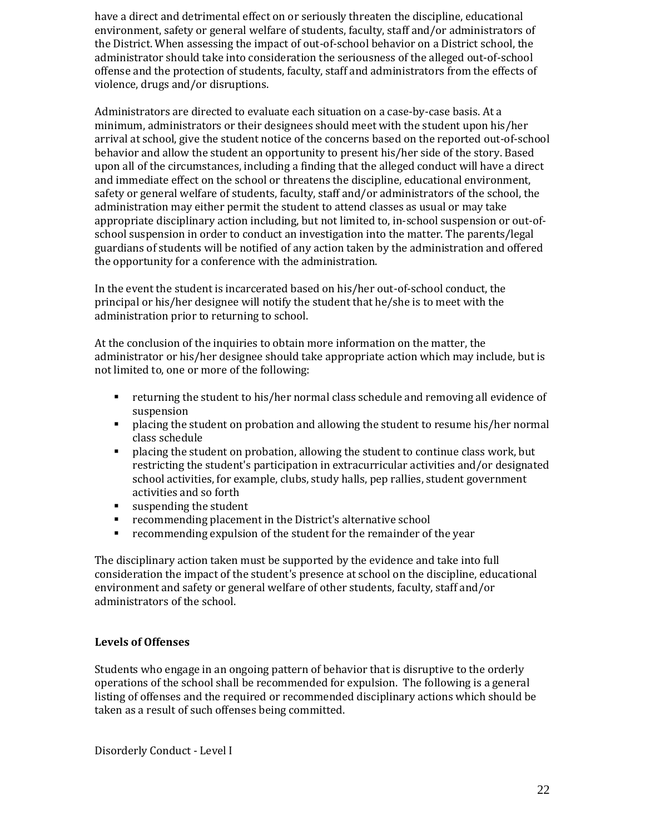have a direct and detrimental effect on or seriously threaten the discipline, educational environment, safety or general welfare of students, faculty, staff and/or administrators of the District. When assessing the impact of out-of-school behavior on a District school, the administrator should take into consideration the seriousness of the alleged out-of-school offense and the protection of students, faculty, staff and administrators from the effects of violence, drugs and/or disruptions.

Administrators are directed to evaluate each situation on a case-by-case basis. At a minimum, administrators or their designees should meet with the student upon his/her arrival at school, give the student notice of the concerns based on the reported out-of-school behavior and allow the student an opportunity to present his/her side of the story. Based upon all of the circumstances, including a finding that the alleged conduct will have a direct and immediate effect on the school or threatens the discipline, educational environment, safety or general welfare of students, faculty, staff and/or administrators of the school, the administration may either permit the student to attend classes as usual or may take appropriate disciplinary action including, but not limited to, in-school suspension or out-ofschool suspension in order to conduct an investigation into the matter. The parents/legal guardians of students will be notified of any action taken by the administration and offered the opportunity for a conference with the administration.

In the event the student is incarcerated based on his/her out-of-school conduct, the principal or his/her designee will notify the student that he/she is to meet with the administration prior to returning to school.

At the conclusion of the inquiries to obtain more information on the matter, the administrator or his/her designee should take appropriate action which may include, but is not limited to, one or more of the following:

- returning the student to his/her normal class schedule and removing all evidence of suspension
- placing the student on probation and allowing the student to resume his/her normal class schedule
- **PEDDENT** placing the student on probation, allowing the student to continue class work, but restricting the student's participation in extracurricular activities and/or designated school activities, for example, clubs, study halls, pep rallies, student government activities and so forth
- suspending the student
- recommending placement in the District's alternative school
- recommending expulsion of the student for the remainder of the year

The disciplinary action taken must be supported by the evidence and take into full consideration the impact of the student's presence at school on the discipline, educational environment and safety or general welfare of other students, faculty, staff and/or administrators of the school.

#### **Levels of Offenses**

Students who engage in an ongoing pattern of behavior that is disruptive to the orderly operations of the school shall be recommended for expulsion. The following is a general listing of offenses and the required or recommended disciplinary actions which should be taken as a result of such offenses being committed.

Disorderly Conduct - Level I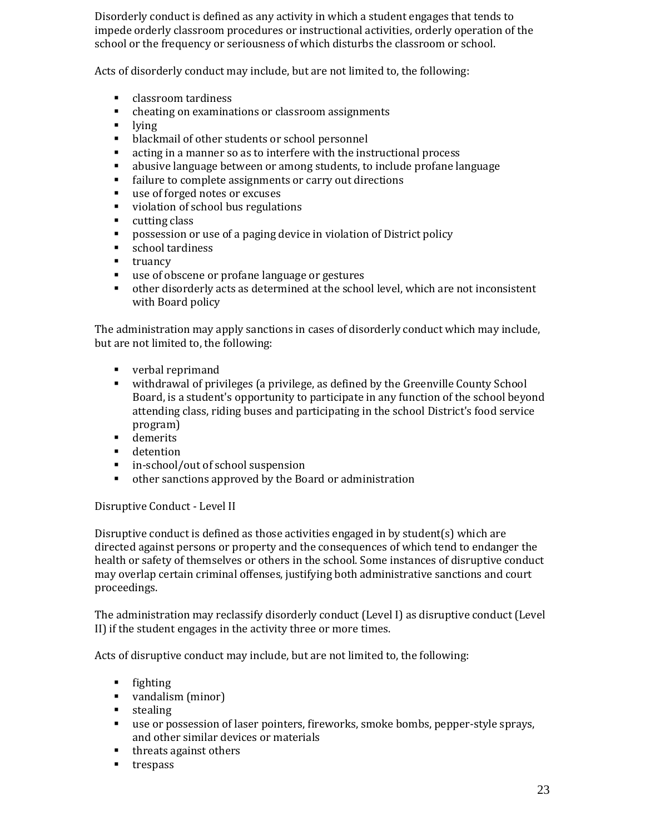Disorderly conduct is defined as any activity in which a student engages that tends to impede orderly classroom procedures or instructional activities, orderly operation of the school or the frequency or seriousness of which disturbs the classroom or school.

Acts of disorderly conduct may include, but are not limited to, the following:

- **classroom tardiness**
- cheating on examinations or classroom assignments
- $\blacksquare$  lying
- **•** blackmail of other students or school personnel
- acting in a manner so as to interfere with the instructional process
- abusive language between or among students, to include profane language
- failure to complete assignments or carry out directions
- use of forged notes or excuses
- violation of school bus regulations
- **u** cutting class
- **Performal Propossession or use of a paging device in violation of District policy**
- **school tardiness**
- $\blacksquare$  truancy
- use of obscene or profane language or gestures
- other disorderly acts as determined at the school level, which are not inconsistent with Board policy

The administration may apply sanctions in cases of disorderly conduct which may include, but are not limited to, the following:

- verbal reprimand
- withdrawal of privileges (a privilege, as defined by the Greenville County School Board, is a student's opportunity to participate in any function of the school beyond attending class, riding buses and participating in the school District's food service program)
- **demerits**
- **detention**
- in-school/out of school suspension
- other sanctions approved by the Board or administration

Disruptive Conduct - Level II

Disruptive conduct is defined as those activities engaged in by student(s) which are directed against persons or property and the consequences of which tend to endanger the health or safety of themselves or others in the school. Some instances of disruptive conduct may overlap certain criminal offenses, justifying both administrative sanctions and court proceedings.

The administration may reclassify disorderly conduct (Level I) as disruptive conduct (Level II) if the student engages in the activity three or more times.

Acts of disruptive conduct may include, but are not limited to, the following:

- $\blacksquare$  fighting
- vandalism (minor)
- **stealing**
- use or possession of laser pointers, fireworks, smoke bombs, pepper-style sprays, and other similar devices or materials
- threats against others
- **trespass**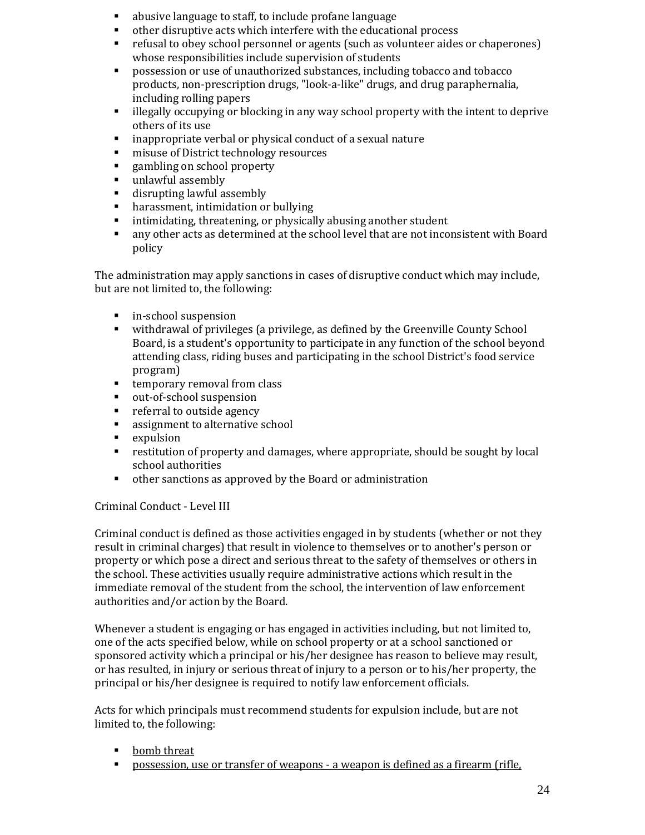- abusive language to staff, to include profane language
- other disruptive acts which interfere with the educational process
- refusal to obey school personnel or agents (such as volunteer aides or chaperones) whose responsibilities include supervision of students
- possession or use of unauthorized substances, including tobacco and tobacco products, non-prescription drugs, "look-a-like" drugs, and drug paraphernalia, including rolling papers
- illegally occupying or blocking in any way school property with the intent to deprive others of its use
- inappropriate verbal or physical conduct of a sexual nature
- **misuse of District technology resources**
- **Exampling on school property**
- unlawful assembly
- disrupting lawful assembly
- **•** harassment, intimidation or bullying
- intimidating, threatening, or physically abusing another student
- any other acts as determined at the school level that are not inconsistent with Board policy

The administration may apply sanctions in cases of disruptive conduct which may include, but are not limited to, the following:

- **in-school suspension**
- withdrawal of privileges (a privilege, as defined by the Greenville County School Board, is a student's opportunity to participate in any function of the school beyond attending class, riding buses and participating in the school District's food service program)
- **temporary removal from class**
- out-of-school suspension
- **•** referral to outside agency
- **assignment to alternative school**
- **EXPULSION**
- restitution of property and damages, where appropriate, should be sought by local school authorities
- other sanctions as approved by the Board or administration

#### Criminal Conduct - Level III

Criminal conduct is defined as those activities engaged in by students (whether or not they result in criminal charges) that result in violence to themselves or to another's person or property or which pose a direct and serious threat to the safety of themselves or others in the school. These activities usually require administrative actions which result in the immediate removal of the student from the school, the intervention of law enforcement authorities and/or action by the Board.

Whenever a student is engaging or has engaged in activities including, but not limited to, one of the acts specified below, while on school property or at a school sanctioned or sponsored activity which a principal or his/her designee has reason to believe may result, or has resulted, in injury or serious threat of injury to a person or to his/her property, the principal or his/her designee is required to notify law enforcement officials.

Acts for which principals must recommend students for expulsion include, but are not limited to, the following:

- **•** bomb threat
- possession, use or transfer of weapons a weapon is defined as a firearm (rifle,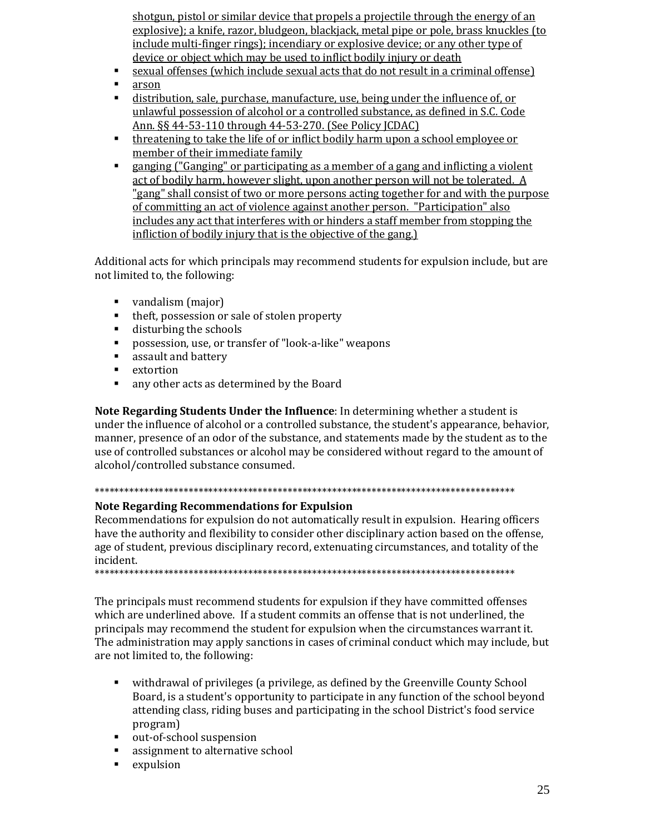shotgun, pistol or similar device that propels a projectile through the energy of an explosive); a knife, razor, bludgeon, blackjack, metal pipe or pole, brass knuckles (to include multi-finger rings); incendiary or explosive device; or any other type of device or object which may be used to inflict bodily injury or death

- sexual offenses (which include sexual acts that do not result in a criminal offense)
- **arson**
- distribution, sale, purchase, manufacture, use, being under the influence of, or unlawful possession of alcohol or a controlled substance, as defined in S.C. Code Ann. §§ 44-53-110 through 44-53-270. (See Policy JCDAC)
- **threatening to take the life of or inflict bodily harm upon a school employee or** member of their immediate family
- **Example 10 angleright Constitution** as a member of a gang and inflicting a violent act of bodily harm, however slight, upon another person will not be tolerated. A "gang" shall consist of two or more persons acting together for and with the purpose of committing an act of violence against another person. "Participation" also includes any act that interferes with or hinders a staff member from stopping the infliction of bodily injury that is the objective of the gang.)

Additional acts for which principals may recommend students for expulsion include, but are not limited to, the following:

- vandalism (major)
- theft, possession or sale of stolen property
- disturbing the schools
- possession, use, or transfer of "look-a-like" weapons
- **EXECUTE:** assault and battery
- **E** extortion
- any other acts as determined by the Board

**Note Regarding Students Under the Influence**: In determining whether a student is under the influence of alcohol or a controlled substance, the student's appearance, behavior, manner, presence of an odor of the substance, and statements made by the student as to the use of controlled substances or alcohol may be considered without regard to the amount of alcohol/controlled substance consumed.

### \*\*\*\*\*\*\*\*\*\*\*\*\*\*\*\*\*\*\*\*\*\*\*\*\*\*\*\*\*\*\*\*\*\*\*\*\*\*\*\*\*\*\*\*\*\*\*\*\*\*\*\*\*\*\*\*\*\*\*\*\*\*\*\*\*\*\*\*\*\*\*\*\*\*\*\*\*\*\*\*\*\*\*\*\*

#### **Note Regarding Recommendations for Expulsion**

Recommendations for expulsion do not automatically result in expulsion. Hearing officers have the authority and flexibility to consider other disciplinary action based on the offense, age of student, previous disciplinary record, extenuating circumstances, and totality of the incident.

\*\*\*\*\*\*\*\*\*\*\*\*\*\*\*\*\*\*\*\*\*\*\*\*\*\*\*\*\*\*\*\*\*\*\*\*\*\*\*\*\*\*\*\*\*\*\*\*\*\*\*\*\*\*\*\*\*\*\*\*\*\*\*\*\*\*\*\*\*\*\*\*\*\*\*\*\*\*\*\*\*\*\*\*\*

The principals must recommend students for expulsion if they have committed offenses which are underlined above. If a student commits an offense that is not underlined, the principals may recommend the student for expulsion when the circumstances warrant it. The administration may apply sanctions in cases of criminal conduct which may include, but are not limited to, the following:

- withdrawal of privileges (a privilege, as defined by the Greenville County School Board, is a student's opportunity to participate in any function of the school beyond attending class, riding buses and participating in the school District's food service program)
- out-of-school suspension
- **assignment to alternative school**
- **expulsion**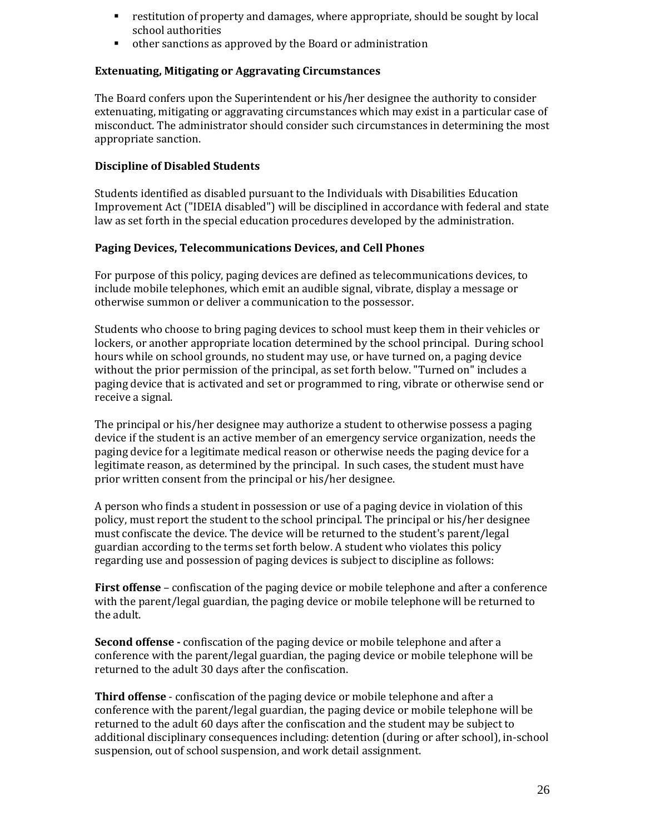- restitution of property and damages, where appropriate, should be sought by local school authorities
- other sanctions as approved by the Board or administration

#### **Extenuating, Mitigating or Aggravating Circumstances**

The Board confers upon the Superintendent or his/her designee the authority to consider extenuating, mitigating or aggravating circumstances which may exist in a particular case of misconduct. The administrator should consider such circumstances in determining the most appropriate sanction.

#### **Discipline of Disabled Students**

Students identified as disabled pursuant to the Individuals with Disabilities Education Improvement Act ("IDEIA disabled") will be disciplined in accordance with federal and state law as set forth in the special education procedures developed by the administration.

#### **Paging Devices, Telecommunications Devices, and Cell Phones**

For purpose of this policy, paging devices are defined as telecommunications devices, to include mobile telephones, which emit an audible signal, vibrate, display a message or otherwise summon or deliver a communication to the possessor.

Students who choose to bring paging devices to school must keep them in their vehicles or lockers, or another appropriate location determined by the school principal. During school hours while on school grounds, no student may use, or have turned on, a paging device without the prior permission of the principal, as set forth below. "Turned on" includes a paging device that is activated and set or programmed to ring, vibrate or otherwise send or receive a signal.

The principal or his/her designee may authorize a student to otherwise possess a paging device if the student is an active member of an emergency service organization, needs the paging device for a legitimate medical reason or otherwise needs the paging device for a legitimate reason, as determined by the principal. In such cases, the student must have prior written consent from the principal or his/her designee.

A person who finds a student in possession or use of a paging device in violation of this policy, must report the student to the school principal. The principal or his/her designee must confiscate the device. The device will be returned to the student's parent/legal guardian according to the terms set forth below. A student who violates this policy regarding use and possession of paging devices is subject to discipline as follows:

**First offense** – confiscation of the paging device or mobile telephone and after a conference with the parent/legal guardian, the paging device or mobile telephone will be returned to the adult.

**Second offense -** confiscation of the paging device or mobile telephone and after a conference with the parent/legal guardian, the paging device or mobile telephone will be returned to the adult 30 days after the confiscation.

**Third offense** - confiscation of the paging device or mobile telephone and after a conference with the parent/legal guardian, the paging device or mobile telephone will be returned to the adult 60 days after the confiscation and the student may be subject to additional disciplinary consequences including: detention (during or after school), in-school suspension, out of school suspension, and work detail assignment.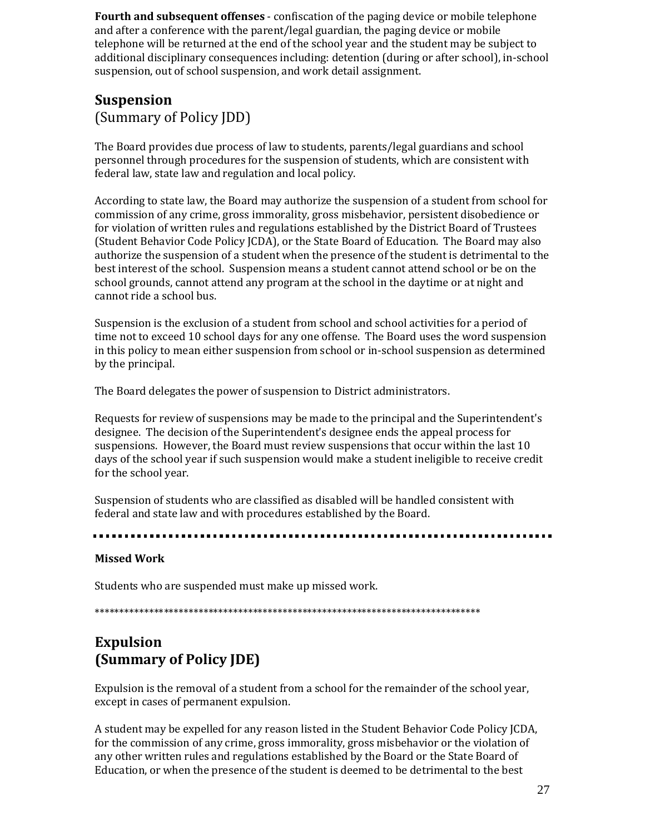**Fourth and subsequent offenses** - confiscation of the paging device or mobile telephone and after a conference with the parent/legal guardian, the paging device or mobile telephone will be returned at the end of the school year and the student may be subject to additional disciplinary consequences including: detention (during or after school), in-school suspension, out of school suspension, and work detail assignment.

### **Suspension** (Summary of Policy JDD)

The Board provides due process of law to students, parents/legal guardians and school personnel through procedures for the suspension of students, which are consistent with federal law, state law and regulation and local policy.

According to state law, the Board may authorize the suspension of a student from school for commission of any crime, gross immorality, gross misbehavior, persistent disobedience or for violation of written rules and regulations established by the District Board of Trustees (Student Behavior Code Policy JCDA), or the State Board of Education. The Board may also authorize the suspension of a student when the presence of the student is detrimental to the best interest of the school. Suspension means a student cannot attend school or be on the school grounds, cannot attend any program at the school in the daytime or at night and cannot ride a school bus.

Suspension is the exclusion of a student from school and school activities for a period of time not to exceed 10 school days for any one offense. The Board uses the word suspension in this policy to mean either suspension from school or in-school suspension as determined by the principal.

The Board delegates the power of suspension to District administrators.

Requests for review of suspensions may be made to the principal and the Superintendent's designee. The decision of the Superintendent's designee ends the appeal process for suspensions. However, the Board must review suspensions that occur within the last 10 days of the school year if such suspension would make a student ineligible to receive credit for the school year.

Suspension of students who are classified as disabled will be handled consistent with federal and state law and with procedures established by the Board.

#### **Missed Work**

Students who are suspended must make up missed work.

\*\*\*\*\*\*\*\*\*\*\*\*\*\*\*\*\*\*\*\*\*\*\*\*\*\*\*\*\*\*\*\*\*\*\*\*\*\*\*\*\*\*\*\*\*\*\*\*\*\*\*\*\*\*\*\*\*\*\*\*\*\*\*\*\*\*\*\*\*\*\*\*\*\*\*\*\*\*

# **Expulsion (Summary of Policy JDE)**

Expulsion is the removal of a student from a school for the remainder of the school year, except in cases of permanent expulsion.

A student may be expelled for any reason listed in the Student Behavior Code Policy JCDA, for the commission of any crime, gross immorality, gross misbehavior or the violation of any other written rules and regulations established by the Board or the State Board of Education, or when the presence of the student is deemed to be detrimental to the best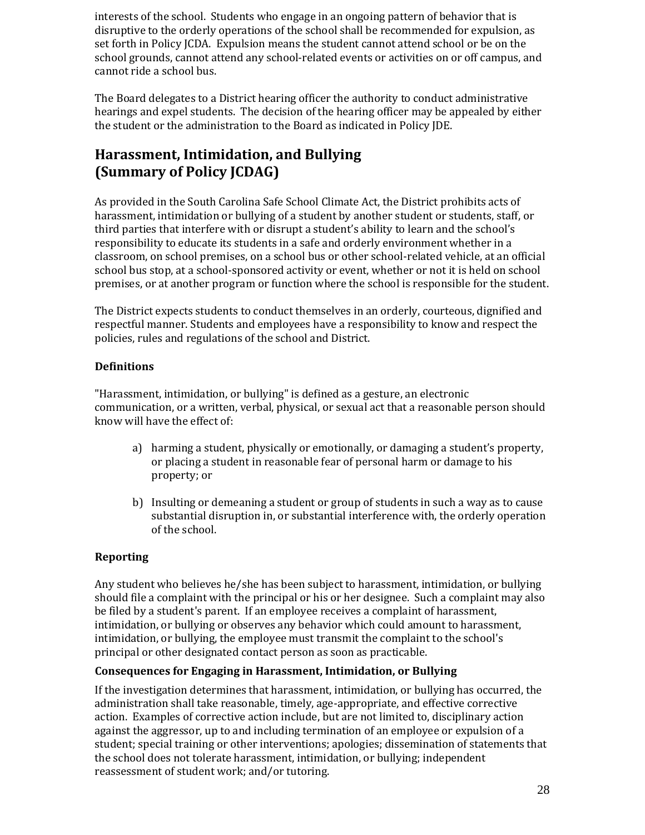interests of the school. Students who engage in an ongoing pattern of behavior that is disruptive to the orderly operations of the school shall be recommended for expulsion, as set forth in Policy JCDA. Expulsion means the student cannot attend school or be on the school grounds, cannot attend any school-related events or activities on or off campus, and cannot ride a school bus.

The Board delegates to a District hearing officer the authority to conduct administrative hearings and expel students. The decision of the hearing officer may be appealed by either the student or the administration to the Board as indicated in Policy JDE.

# **Harassment, Intimidation, and Bullying (Summary of Policy JCDAG)**

As provided in the South Carolina Safe School Climate Act, the District prohibits acts of harassment, intimidation or bullying of a student by another student or students, staff, or third parties that interfere with or disrupt a student's ability to learn and the school's responsibility to educate its students in a safe and orderly environment whether in a classroom, on school premises, on a school bus or other school-related vehicle, at an official school bus stop, at a school-sponsored activity or event, whether or not it is held on school premises, or at another program or function where the school is responsible for the student.

The District expects students to conduct themselves in an orderly, courteous, dignified and respectful manner. Students and employees have a responsibility to know and respect the policies, rules and regulations of the school and District.

### **Definitions**

"Harassment, intimidation, or bullying" is defined as a gesture, an electronic communication, or a written, verbal, physical, or sexual act that a reasonable person should know will have the effect of:

- a) harming a student, physically or emotionally, or damaging a student's property, or placing a student in reasonable fear of personal harm or damage to his property; or
- b) Insulting or demeaning a student or group of students in such a way as to cause substantial disruption in, or substantial interference with, the orderly operation of the school.

### **Reporting**

Any student who believes he/she has been subject to harassment, intimidation, or bullying should file a complaint with the principal or his or her designee. Such a complaint may also be filed by a student's parent. If an employee receives a complaint of harassment, intimidation, or bullying or observes any behavior which could amount to harassment, intimidation, or bullying, the employee must transmit the complaint to the school's principal or other designated contact person as soon as practicable.

### **Consequences for Engaging in Harassment, Intimidation, or Bullying**

If the investigation determines that harassment, intimidation, or bullying has occurred, the administration shall take reasonable, timely, age-appropriate, and effective corrective action. Examples of corrective action include, but are not limited to, disciplinary action against the aggressor, up to and including termination of an employee or expulsion of a student; special training or other interventions; apologies; dissemination of statements that the school does not tolerate harassment, intimidation, or bullying; independent reassessment of student work; and/or tutoring.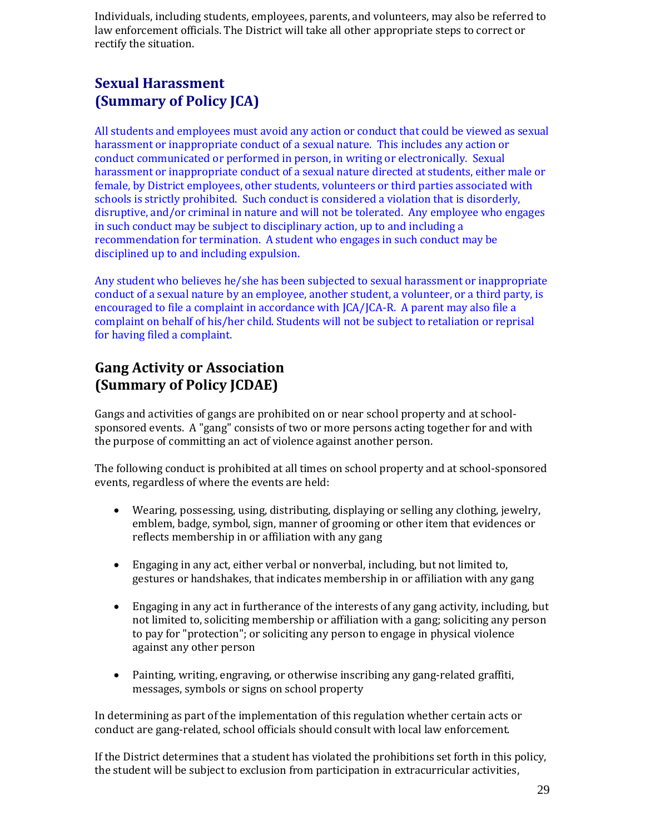Individuals, including students, employees, parents, and volunteers, may also be referred to law enforcement officials. The District will take all other appropriate steps to correct or rectify the situation.

# **Sexual Harassment (Summary of Policy JCA)**

All students and employees must avoid any action or conduct that could be viewed as sexual harassment or inappropriate conduct of a sexual nature. This includes any action or conduct communicated or performed in person, in writing or electronically. Sexual harassment or inappropriate conduct of a sexual nature directed at students, either male or female, by District employees, other students, volunteers or third parties associated with schools is strictly prohibited. Such conduct is considered a violation that is disorderly, disruptive, and/or criminal in nature and will not be tolerated. Any employee who engages in such conduct may be subject to disciplinary action, up to and including a recommendation for termination. A student who engages in such conduct may be disciplined up to and including expulsion.

Any student who believes he/she has been subjected to sexual harassment or inappropriate conduct of a sexual nature by an employee, another student, a volunteer, or a third party, is encouraged to file a complaint in accordance with JCA/JCA-R. A parent may also file a complaint on behalf of his/her child. Students will not be subject to retaliation or reprisal for having filed a complaint.

# **Gang Activity or Association (Summary of Policy JCDAE)**

Gangs and activities of gangs are prohibited on or near school property and at schoolsponsored events. A "gang" consists of two or more persons acting together for and with the purpose of committing an act of violence against another person.

The following conduct is prohibited at all times on school property and at school-sponsored events, regardless of where the events are held:

- Wearing, possessing, using, distributing, displaying or selling any clothing, jewelry, emblem, badge, symbol, sign, manner of grooming or other item that evidences or reflects membership in or affiliation with any gang
- Engaging in any act, either verbal or nonverbal, including, but not limited to, gestures or handshakes, that indicates membership in or affiliation with any gang
- Engaging in any act in furtherance of the interests of any gang activity, including, but not limited to, soliciting membership or affiliation with a gang; soliciting any person to pay for "protection"; or soliciting any person to engage in physical violence against any other person
- Painting, writing, engraving, or otherwise inscribing any gang-related graffiti, messages, symbols or signs on school property

In determining as part of the implementation of this regulation whether certain acts or conduct are gang-related, school officials should consult with local law enforcement.

If the District determines that a student has violated the prohibitions set forth in this policy, the student will be subject to exclusion from participation in extracurricular activities,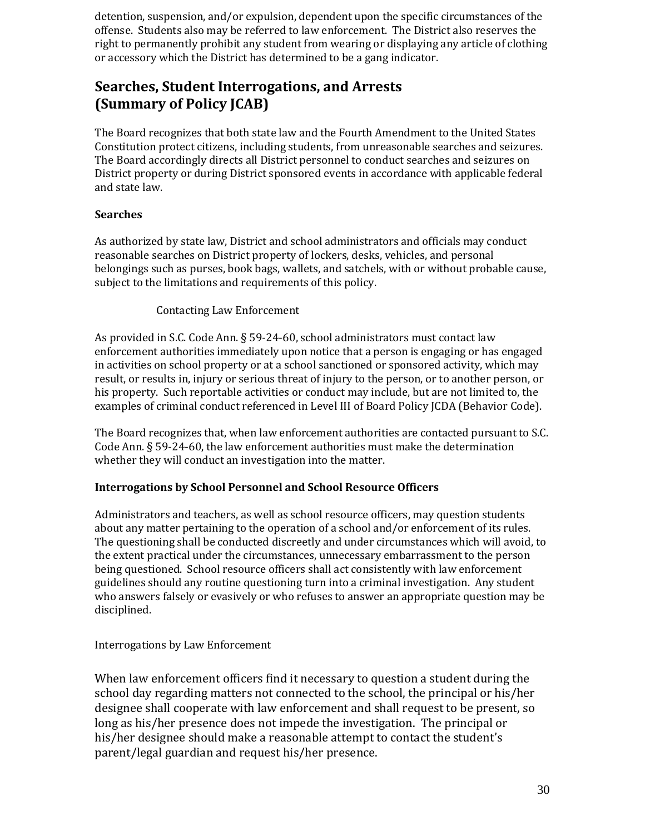detention, suspension, and/or expulsion, dependent upon the specific circumstances of the offense. Students also may be referred to law enforcement. The District also reserves the right to permanently prohibit any student from wearing or displaying any article of clothing or accessory which the District has determined to be a gang indicator.

# **Searches, Student Interrogations, and Arrests (Summary of Policy JCAB)**

The Board recognizes that both state law and the Fourth Amendment to the United States Constitution protect citizens, including students, from unreasonable searches and seizures. The Board accordingly directs all District personnel to conduct searches and seizures on District property or during District sponsored events in accordance with applicable federal and state law.

### **Searches**

As authorized by state law, District and school administrators and officials may conduct reasonable searches on District property of lockers, desks, vehicles, and personal belongings such as purses, book bags, wallets, and satchels, with or without probable cause, subject to the limitations and requirements of this policy.

#### Contacting Law Enforcement

As provided in S.C. Code Ann. § 59-24-60, school administrators must contact law enforcement authorities immediately upon notice that a person is engaging or has engaged in activities on school property or at a school sanctioned or sponsored activity, which may result, or results in, injury or serious threat of injury to the person, or to another person, or his property. Such reportable activities or conduct may include, but are not limited to, the examples of criminal conduct referenced in Level III of Board Policy JCDA (Behavior Code).

The Board recognizes that, when law enforcement authorities are contacted pursuant to S.C. Code Ann. § 59-24-60, the law enforcement authorities must make the determination whether they will conduct an investigation into the matter.

#### **Interrogations by School Personnel and School Resource Officers**

Administrators and teachers, as well as school resource officers, may question students about any matter pertaining to the operation of a school and/or enforcement of its rules. The questioning shall be conducted discreetly and under circumstances which will avoid, to the extent practical under the circumstances, unnecessary embarrassment to the person being questioned. School resource officers shall act consistently with law enforcement guidelines should any routine questioning turn into a criminal investigation. Any student who answers falsely or evasively or who refuses to answer an appropriate question may be disciplined.

#### Interrogations by Law Enforcement

When law enforcement officers find it necessary to question a student during the school day regarding matters not connected to the school, the principal or his/her designee shall cooperate with law enforcement and shall request to be present, so long as his/her presence does not impede the investigation. The principal or his/her designee should make a reasonable attempt to contact the student's parent/legal guardian and request his/her presence.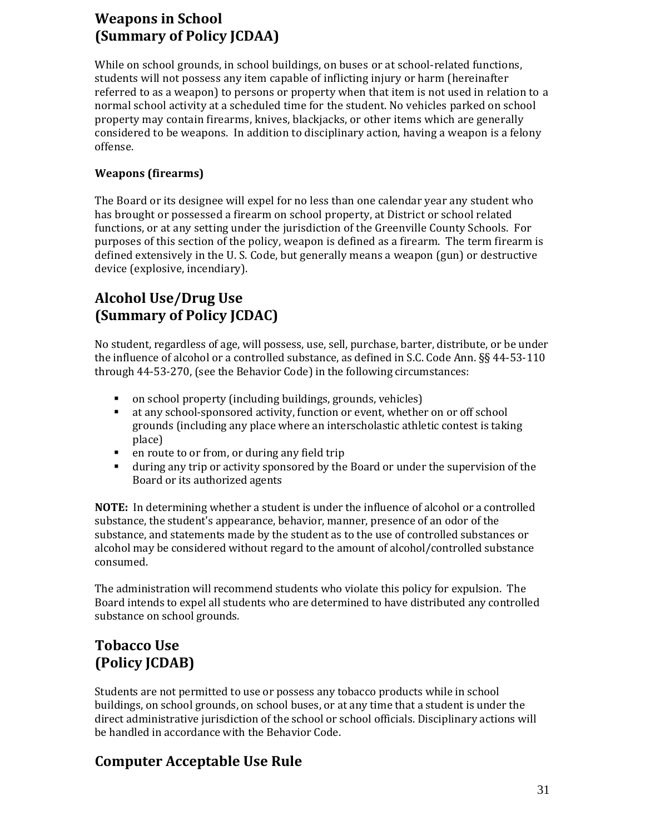# **Weapons in School (Summary of Policy JCDAA)**

While on school grounds, in school buildings, on buses or at school-related functions, students will not possess any item capable of inflicting injury or harm (hereinafter referred to as a weapon) to persons or property when that item is not used in relation to a normal school activity at a scheduled time for the student. No vehicles parked on school property may contain firearms, knives, blackjacks, or other items which are generally considered to be weapons. In addition to disciplinary action, having a weapon is a felony offense.

### **Weapons (firearms)**

The Board or its designee will expel for no less than one calendar year any student who has brought or possessed a firearm on school property, at District or school related functions, or at any setting under the jurisdiction of the Greenville County Schools. For purposes of this section of the policy, weapon is defined as a firearm. The term firearm is defined extensively in the U. S. Code, but generally means a weapon (gun) or destructive device (explosive, incendiary).

# **Alcohol Use/Drug Use (Summary of Policy JCDAC)**

No student, regardless of age, will possess, use, sell, purchase, barter, distribute, or be under the influence of alcohol or a controlled substance, as defined in S.C. Code Ann. §§ 44-53-110 through 44-53-270, (see the Behavior Code) in the following circumstances:

- on school property (including buildings, grounds, vehicles)
- at any school-sponsored activity, function or event, whether on or off school grounds (including any place where an interscholastic athletic contest is taking place)
- en route to or from, or during any field trip
- during any trip or activity sponsored by the Board or under the supervision of the Board or its authorized agents

**NOTE:** In determining whether a student is under the influence of alcohol or a controlled substance, the student's appearance, behavior, manner, presence of an odor of the substance, and statements made by the student as to the use of controlled substances or alcohol may be considered without regard to the amount of alcohol/controlled substance consumed.

The administration will recommend students who violate this policy for expulsion. The Board intends to expel all students who are determined to have distributed any controlled substance on school grounds.

# **Tobacco Use (Policy JCDAB)**

Students are not permitted to use or possess any tobacco products while in school buildings, on school grounds, on school buses, or at any time that a student is under the direct administrative jurisdiction of the school or school officials. Disciplinary actions will be handled in accordance with the Behavior Code.

# **Computer Acceptable Use Rule**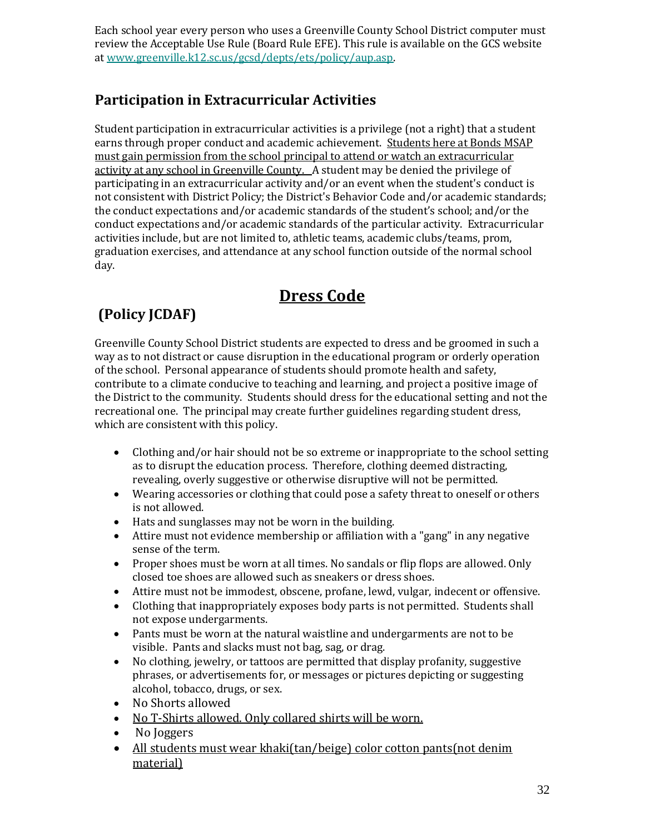Each school year every person who uses a Greenville County School District computer must review the Acceptable Use Rule (Board Rule EFE). This rule is available on the GCS website a[t www.greenville.k12.sc.us/gcsd/depts/ets/policy/aup.asp.](http://www.greenville.k12.sc.us/gcsd/depts/ets/policy/aup.asp)

# **Participation in Extracurricular Activities**

Student participation in extracurricular activities is a privilege (not a right) that a student earns through proper conduct and academic achievement. Students here at Bonds MSAP must gain permission from the school principal to attend or watch an extracurricular activity at any school in Greenville County. A student may be denied the privilege of participating in an extracurricular activity and/or an event when the student's conduct is not consistent with District Policy; the District's Behavior Code and/or academic standards; the conduct expectations and/or academic standards of the student's school; and/or the conduct expectations and/or academic standards of the particular activity. Extracurricular activities include, but are not limited to, athletic teams, academic clubs/teams, prom, graduation exercises, and attendance at any school function outside of the normal school day.

# **Dress Code**

# **(Policy JCDAF)**

Greenville County School District students are expected to dress and be groomed in such a way as to not distract or cause disruption in the educational program or orderly operation of the school. Personal appearance of students should promote health and safety, contribute to a climate conducive to teaching and learning, and project a positive image of the District to the community. Students should dress for the educational setting and not the recreational one. The principal may create further guidelines regarding student dress, which are consistent with this policy.

- Clothing and/or hair should not be so extreme or inappropriate to the school setting as to disrupt the education process. Therefore, clothing deemed distracting, revealing, overly suggestive or otherwise disruptive will not be permitted.
- Wearing accessories or clothing that could pose a safety threat to oneself or others is not allowed.
- Hats and sunglasses may not be worn in the building.
- Attire must not evidence membership or affiliation with a "gang" in any negative sense of the term.
- Proper shoes must be worn at all times. No sandals or flip flops are allowed. Only closed toe shoes are allowed such as sneakers or dress shoes.
- Attire must not be immodest, obscene, profane, lewd, vulgar, indecent or offensive.
- Clothing that inappropriately exposes body parts is not permitted. Students shall not expose undergarments.
- Pants must be worn at the natural waistline and undergarments are not to be visible. Pants and slacks must not bag, sag, or drag.
- No clothing, jewelry, or tattoos are permitted that display profanity, suggestive phrases, or advertisements for, or messages or pictures depicting or suggesting alcohol, tobacco, drugs, or sex.
- No Shorts allowed
- No T-Shirts allowed. Only collared shirts will be worn.
- No Joggers
- All students must wear khaki(tan/beige) color cotton pants(not denim material)